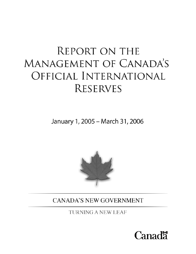# **REPORT ON THE** MANAGEMENT OF CANADA'S OFFICIAL INTERNATIONAL **RESERVES**

January 1, 2005 - March 31, 2006



**CANADA'S NEW GOVERNMENT** 

TURNING A NEW LEAF

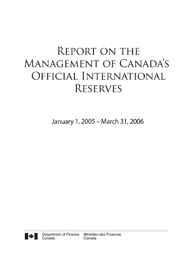# **REPORT ON THE** MANAGEMENT OF CANADA'S OFFICIAL INTERNATIONAL **RESERVES**

January 1, 2005 - March 31, 2006

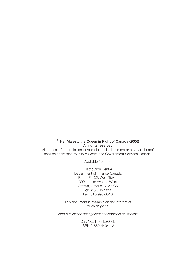## **© Her Majesty the Queen in Right of Canada (2006) All rights reserved**

All requests for permission to reproduce this document or any part thereof shall be addressed to Public Works and Government Services Canada.

Available from the

Distribution Centre Department of Finance Canada Room P-135, West Tower 300 Laurier Avenue West Ottawa, Ontario K1A 0G5 Tel: 613-995-2855 Fax: 613-996-0518

This document is available on the Internet at www.fin.gc.ca

*Cette publication est également disponible en français.*

Cat. No.: F1-31/2006E ISBN 0-662-44041-2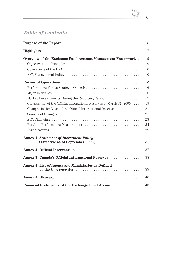# *Table of Contents*

|                                                                      | 5              |
|----------------------------------------------------------------------|----------------|
|                                                                      | $\overline{7}$ |
| Overview of the Exchange Fund Account Management Framework           | 9              |
|                                                                      | 9              |
|                                                                      | 10             |
|                                                                      | 10             |
|                                                                      | 16             |
| Performance Versus Strategic Objectives                              | 16             |
|                                                                      | 16             |
| Market Developments During the Reporting Period                      | 17             |
| Composition of the Official International Reserves at March 31, 2006 | 19             |
| Changes in the Level of the Official International Reserves          | 21             |
|                                                                      | 21             |
|                                                                      | 23             |
|                                                                      | 24             |
|                                                                      | 29             |
| <b>Annex 1: Statement of Investment Policy</b>                       |                |
|                                                                      | 31             |
|                                                                      | 37             |
| Annex 3: Canada's Official International Reserves                    | 38             |
| Annex 4: List of Agents and Mandataries as Defined                   | 39             |
|                                                                      | 40             |
| <b>Financial Statements of the Exchange Fund Account </b>            | 43             |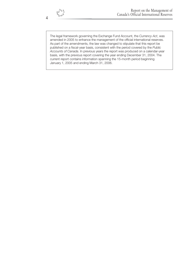The legal framework governing the Exchange Fund Account, the *Currency Act*, was amended in 2005 to enhance the management of the official international reserves. As part of the amendments, the law was changed to stipulate that this report be published on a fiscal-year basis, consistent with the period covered by the *Public Accounts of Canada*. In previous years the report was produced on a calendar-year basis, with the previous report covering the year ending December 31, 2004. The current report contains information spanning the 15-month period beginning January 1, 2005 and ending March 31, 2006.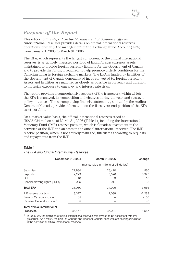# *Purpose of the Report*

This edition of the *Report on the Management of Canada's Official International Reserves* provides details on official international reserves operations, primarily the management of the Exchange Fund Account (EFA), from January 1, 2005 to March 31, 2006.

The EFA, which represents the largest component of the official international reserves, is an actively managed portfolio of liquid foreign currency assets, maintained to provide foreign currency liquidity for the Government of Canada and to provide the funds, if required, to help promote orderly conditions for the Canadian dollar in foreign exchange markets. The EFA is funded by liabilities of the Government of Canada denominated in, or converted to, foreign currency. Assets and liabilities are matched as closely as possible in currency and duration to minimize exposure to currency and interest rate risks.

The report provides a comprehensive account of the framework within which the EFA is managed, its composition and changes during the year, and strategic policy initiatives. The accompanying financial statements, audited by the Auditor General of Canada, provide information on the fiscal year-end position of the EFA asset portfolio.

On a market-value basis, the official international reserves stood at US\$36,034 million as of March 31, 2006 (Table 1), including the International Monetary Fund (IMF) reserve position, which is Canada's investment in the activities of the IMF and an asset in the official international reserves. The IMF reserve position, which is not actively managed, fluctuates according to requests and repayments from the IMF.

#### **Table 1**

|                                       | December 31, 2004 | March 31, 2006                           | Change   |
|---------------------------------------|-------------------|------------------------------------------|----------|
|                                       |                   | (market value in millions of US dollars) |          |
| Securities                            | 27,834            | 28,420                                   | 586      |
| Deposits                              | 2,223             | 5.596                                    | 3.373    |
| Gold                                  | 48                | 63                                       | 15       |
| Special drawing rights (SDRs)         | 925               | 917                                      | -8       |
| <b>Total EFA</b>                      | 31,030            | 34.996                                   | 3,966    |
| IMF reserve position                  | 3,327             | 1,038                                    | $-2,289$ |
| Bank of Canada account <sup>1</sup>   | 105               |                                          | $-105$   |
| Receiver General account <sup>1</sup> | 5                 |                                          | -5       |
| Total official international          |                   |                                          |          |
| reserves                              | 34.467            | 36,034                                   | 1.567    |

*The EFA and Official International Reserves*

In 2005–06, the definition of official international reserves was revised to be consistent with IMF guidelines. As a result, the Bank of Canada and Receiver General accounts are no longer included in the definition of official international reserves.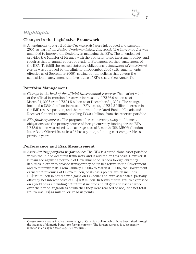# *Highlights*

## **Changes in the Legislative Framework**

■ Amendments to Part II of the *Currency Act* were introduced and passed in 2005, as part of the *Budget Implementation Act, 2005*. The *Currency Act* was amended to improve the flexibility in managing the EFA. The amended act provides the Minister of Finance with the authority to set investment policy, and requires that an annual report be made to Parliament on the management of the EFA. To fulfill the revised statutory obligations, a *Statement of Investment Policy* was approved by the Minister in December 2005 (with amendments effective as of September 2006), setting out the policies that govern the acquisition, management and divestiture of EFA assets (see Annex 1).

## **Portfolio Management**

- *Change in the level of the official international reserves:* The market value of the official international reserves increased to US\$36.0 billion as of March 31, 2006 from US\$34.5 billion as of December 31, 2004. The change included a US\$4.0-billion increase in EFA assets, a US\$2.3-billion decrease in the IMF reserve position, and the removal of unrelated Bank of Canada and Receiver General accounts, totalling US\$0.1 billion, from the reserves portfolio.
- $\blacksquare$  *EFA funding sources:* The program of cross-currency swaps<sup>1</sup> of domestic obligations was the primary source of foreign currency funding for the EFA. US\$8.0 billion was raised at an average cost of 3-month US\$ LIBOR (London Inter-Bank Offered Rate) less 35 basis points, a funding cost comparable to previous years.

## **Performance and Risk Measurement**

■ *Asset-liability portfolio performance:* The EFA is a stand-alone asset portfolio within the Public Accounts framework and is audited on this basis. However, it is managed against a portfolio of Government of Canada foreign currency liabilities in order to provide transparency on its net return to the Government and to minimize risk. From January 1, 2005 to March 31, 2006, the Government earned net revenues of US\$75 million, or 25 basis points, which includes US\$227 million in net realized gains on US-dollar and euro asset sales, partially offset by net interest costs of US\$152 million. In terms of total return expressed on a yield basis (including net interest income and all gains or losses earned over the period, regardless of whether they were realized or not), the net total return was US\$44 million, or 17 basis points.

7

<sup>&</sup>lt;sup>1</sup> Cross-currency swaps involve the exchange of Canadian dollars, which have been raised through the issuance of domestic bonds, for foreign currency. The foreign currency is subsequently invested in an eligible asset (e.g. US Treasuries).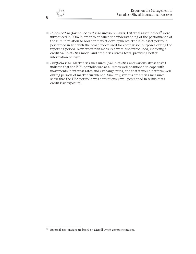- *Enhanced performance and risk measurements:* External asset indices<sup>2</sup> were introduced in 2005 in order to enhance the understanding of the performance of the EFA in relation to broader market developments. The EFA asset portfolio performed in line with the broad index used for comparison purposes during the reporting period. New credit risk measures were also introduced, including a credit Value-at-Risk model and credit risk stress tests, providing better information on risks.
- *Portfolio risk:* Market risk measures (Value-at-Risk and various stress tests) indicate that the EFA portfolio was at all times well positioned to cope with movements in interest rates and exchange rates, and that it would perform well during periods of market turbulence. Similarly, various credit risk measures show that the EFA portfolio was continuously well positioned in terms of its credit risk exposure.

8

<sup>2</sup> External asset indices are based on Merrill Lynch composite indices.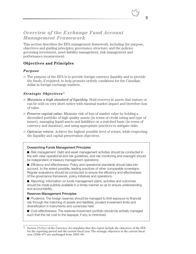# *Overview of the Exchange Fund Account Management Framework*

This section describes the EFA management framework, including the purpose, objectives and guiding principles; governance structure; and the policies governing investment, asset-liability management, risk management and performance measurement.

## **Objectives and Principles**

#### *Purpose*

■ The purpose of the EFA is to provide foreign currency liquidity and to provide the funds, if required, to help promote orderly conditions for the Canadian dollar in foreign exchange markets.

## *Strategic Objectives*<sup>3</sup>

- *Maintain a high standard of liquidity:* Hold reserves in assets that mature or can be sold on very short notice with minimal market impact and therefore loss of value.
- *Preserve capital value:* Minimize risk of loss of market value by holding a diversified portfolio of high quality assets (in terms of credit rating and type of issuer), managing liquid assets and liabilities on a matched basis (in terms of currency and duration), and using appropriate practices to mitigate risks.
- *Optimize return:* Achieve the highest possible level of return, while respecting the liquidity and capital preservation objectives.

#### **Overarching Funds Management Principles**

■ *Risk management:* Debt and asset management activities should be conducted in line with clear operational and risk guidelines, and risk monitoring and oversight should be independent of treasury management operations.

■ *Efficiency and effectiveness:* Policy and operational standards should take into account, to the extent possible, leading practices of other comparable sovereigns. Regular evaluations should be conducted to ensure the efficiency and effectiveness of the governance framework, policy initiatives and operations.

■ *Reporting:* Information on funds management plans, activities and outcomes should be made publicly available in a timely manner so as to ensure understanding and accountability.

#### **Reserves Management Principles**

■ *Prudence:* The foreign reserves should be managed to limit exposure to financial risk through the matching of assets and liabilities, prudent investment limits and diversification in instruments and currencies held.

■ *Cost-effectiveness:* The reserves investment portfolio should be actively managed such that the net cost to the taxpayer, if any, is minimized.

<sup>3</sup> Section 21(2)(c) of the *Currency Act* stipulates that this report include the objectives of the EFA for the reporting period and the current fiscal year. The strategic objectives in the current fiscal year (2006–07) are unchanged from 2005–06.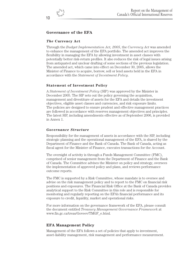## **Governance of the EFA**

#### *The* **Currency Act**

Through the *Budget Implementation Act, 2005*, the *Currency Act* was amended to enhance the management of the EFA portfolio. The amended act improves the flexibility in managing the EFA by allowing investment in asset classes with potentially better risk-return profiles. It also reduces the risk of legal issues arising from antiquated and unclear drafting of some sections of the previous legislation. The amended act, which came into effect on December 30, 2005, allows the Minister of Finance to acquire, borrow, sell or lend assets held in the EFA in accordance with the *Statement of Investment Policy*.

#### **Statement of Investment Policy**

A *Statement of Investment Policy* (SIP) was approved by the Minister in December 2005. The SIP sets out the policy governing the acquisition, management and divestiture of assets for the EFA and details the investment objectives, eligible asset classes and currencies, and risk exposure limits. The policies are designed to ensure prudent and effective management practices are followed in accordance with reserves management objectives and principles. The latest SIP, including amendments effective as of September 2006, is provided in Annex 1.

#### *Governance Structure*

Responsibility for the management of assets in accordance with the SIP, including strategic planning and the operational management of the EFA, is shared by the Department of Finance and the Bank of Canada. The Bank of Canada, acting as fiscal agent for the Minister of Finance, executes transactions for the Account.

The oversight of activity is through a Funds Management Committee (FMC), comprised of senior management from the Department of Finance and the Bank of Canada. The Committee advises the Minister on policy and strategy, oversees the implementation of approved policy and plans, and reviews performance outcome reports.

The FMC is supported by a Risk Committee, whose mandate is to oversee and advise on the risk management policy and to report to the FMC on financial risk positions and exposures. The Financial Risk Office at the Bank of Canada provides analytical support to the Risk Committee in this role and is responsible for monitoring and regularly reporting on the EFA's financial performance and its exposure to credit, liquidity, market and operational risks.

For more information on the governance framework of the EFA, please consult the document entitled *Treasury Management Governance Framework* at www.fin.gc.ca/treas/Goveev/TMGF\_e.html.

#### **EFA Management Policy**

Management of the EFA follows a set of policies that apply to investment, asset-liability management, risk management and performance measurement.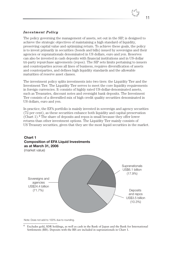## *Investment Policy*

The policy governing the management of assets, set out in the SIP, is designed to achieve the strategic objectives of maintaining a high standard of liquidity, preserving capital value and optimizing return. To achieve these goals, the policy is to invest primarily in securities (bonds and bills) issued by sovereigns and their agencies or supranationals denominated in US dollars, euro and yen. Reserves can also be invested in cash deposits with financial institutions and in US-dollar tri-party repurchase agreements (repos). The SIP sets limits pertaining to issuers and counterparties across all lines of business, requires diversification of assets and counterparties, and defines high liquidity standards and the allowable maturities of reserve asset classes.

The investment policy splits investments into two tiers: the Liquidity Tier and the Investment Tier. The Liquidity Tier serves to meet the core liquidity requirements in foreign currencies. It consists of highly rated US-dollar-denominated assets, such as Treasuries, discount notes and overnight bank deposits. The Investment Tier consists of a diversified mix of high credit quality securities denominated in US dollars, euro and yen.

In practice, the EFA portfolio is mainly invested in sovereign and agency securities (72 per cent), as these securities enhance both liquidity and capital preservation (Chart  $1$ ).<sup>4</sup> The share of deposits and repos is small because they offer lower returns than other investment options. The Liquidity Tier mainly consists of US Treasury securities, given that they are the most liquid securities in the market.

# Sovereigns and agencies US\$24.4 billion (71.7%) **Deposits** and repos US\$3.5 billion (10.3%) **Supranationals** US\$6.1 billion (17.9%) **Chart 1 Composition of EFA Liquid Investments as at March 31, 2006**  (market value)

Note: Does not add to 100% due to rounding.

<sup>4</sup> Excludes gold, SDR holdings, as well as cash in the Bank of Japan and the Bank for International Settlements (BIS). Deposits with the BIS are included in supranationals in Chart 1.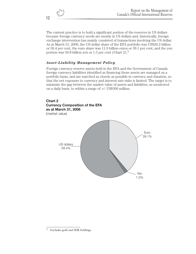The current practice is to hold a significant portion of the reserves in US dollars because foreign currency needs are mostly in US dollars and, historically, foreign exchange intervention has mainly consisted of transactions involving the US dollar. As at March 31, 2006, the US-dollar share of the EFA portfolio was US\$20.2 billion or 59.4 per cent, the euro share was 11.0 billion euros or 39.1 per cent, and the yen portion was 59.8 billion yen or 1.5 per cent (Chart 2).<sup>5</sup>

## *Asset-Liability Management Policy*

Foreign currency reserve assets held in the EFA and the Government of Canada foreign currency liabilities identified as financing those assets are managed on a portfolio basis, and are matched as closely as possible in currency and duration, so that the net exposure to currency and interest rate risks is limited. The target is to minimize the gap between the market value of assets and liabilities, as monitored on a daily basis, to within a range of +/- US\$300 million.

## **Chart 2 Currency Composition of the EFA as at March 31, 2006** (market value)



<sup>5</sup> Excludes gold and SDR holdings.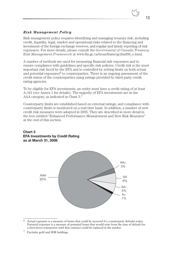#### *Risk Management Policy*

Risk management policy requires identifying and managing treasury risk, including credit, liquidity, legal, market and operational risks related to the financing and investment of the foreign exchange reserves, and regular and timely reporting of risk exposures. For more details, please consult the *Government of Canada Treasury Risk Management Framework* at www.fin.gc.ca/treas/frame/gcfrmf06\_e.html.

A number of methods are used for measuring financial risk exposures and to ensure compliance with guidelines and specific risk policies. Credit risk is the most important risk faced by the EFA and is controlled by setting limits on both actual and potential exposures<sup>6</sup> to counterparties. There is an ongoing assessment of the credit status of the counterparties using ratings provided by third-party credit rating agencies.

To be eligible for EFA investments, an entity must have a credit rating of at least A-/A3 (see Annex 1 for details). The majority of EFA investments are in the AAA category, as indicated in Chart 3.<sup>7</sup>

Counterparty limits are established based on external ratings, and compliance with counterparty limits is monitored on a real-time basis. In addition, a number of new credit risk measures were adopted in 2005. They are described in more detail in the box entitled "Enhanced Performance Measurement and New Risk Measures" at the end of this section.

#### **Chart 3 EFA Investments by Credit Rating as at March 31, 2006**



 $6$  Actual exposure is a measure of losses that could be incurred if a counterparty defaults today. Potential exposure is a measure of potential losses that would arise from the time of default for a derivatives transaction until that contract could be replaced in the market.

<sup>7</sup> Excludes gold and SDR holdings.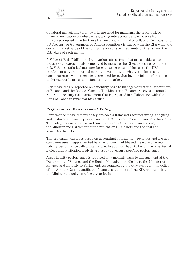Collateral management frameworks are used for managing the credit risk to financial institution counterparties, taking into account any exposure from unsecured deposits. Under these frameworks, high quality collateral (e.g. cash and US Treasury or Government of Canada securities) is placed with the EFA when the current market value of the contract exceeds specified limits on the 1st and the 15th days of each month.

A Value-at-Risk (VaR) model and various stress tests that are considered to be industry standards are also employed to measure the EFA's exposure to market risk. VaR is a statistical measure for estimating potential losses to the EFA portfolio arising from normal market movements, i.e. changes in interest and exchange rates, while stress tests are used for evaluating portfolio performance under extraordinary circumstances in the market.

Risk measures are reported on a monthly basis to management at the Department of Finance and the Bank of Canada. The Minister of Finance receives an annual report on treasury risk management that is prepared in collaboration with the Bank of Canada's Financial Risk Office.

## *Performance Measurement Policy*

Performance measurement policy provides a framework for measuring, analyzing and evaluating financial performance of EFA investments and associated liabilities. The policy requires regular and timely reporting to senior management, the Minister and Parliament of the returns on EFA assets and the costs of associated liabilities.

The principal measure is based on accounting information (revenues and the net carry measure), supplemented by an economic yield-based measure of assetliability performance called total return. In addition, liability benchmarks, external indices and attribution analysis are used to measure portfolio performance.

Asset-liability performance is reported on a monthly basis to management at the Department of Finance and the Bank of Canada, periodically to the Minister of Finance and annually to Parliament. As required by the *Currency Act*, the Office of the Auditor General audits the financial statements of the EFA and reports to the Minister annually on a fiscal-year basis.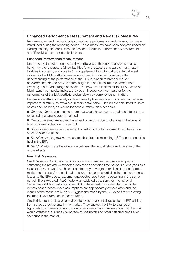## **Enhanced Performance Measurement and New Risk Measures**

New measures and methodologies to enhance performance and risk reporting were introduced during the reporting period. These measures have been adopted based on leading industry standards (see the sections "Portfolio Performance Measurement" and "Risk Measures" for detailed results).

#### **Enhanced Performance Measurement**

Until recently, the return on the liability portfolio was the only measure used as a benchmark for the assets (since liabilities fund the assets and assets must match liabilities in currency and duration). To supplement this information, external asset indices for the EFA portfolio have recently been introduced to enhance the understanding of the performance of the EFA in relation to broader market developments, and to provide some insight into additional returns earned from investing in a broader range of assets. The new asset indices for the EFA, based on Merrill Lynch composite indices, provide an independent comparator for the performance of the EFA portfolio broken down by currency denomination.

Performance attribution analysis determines by how much each contributing variable impacts total return, as explained in more detail below. Results are calculated for both assets and liabilities, as well as for each currency, on a net basis.

■ *Coupon effect* measures the return that would have been earned had interest rates remained unchanged over the period.

■ *Yield curve effect* measures the impact on returns due to changes in the general level of interest rates over the period.

■ *Spread effect* measures the impact on returns due to movements in interest rate spreads over the period.

■ *Securities-lending revenue* measures the return from lending US Treasury securities held in the EFA.

■ *Residual returns* are the difference between the actual return and the sum of the above effects.

#### **New Risk Measures**

Credit Value-at-Risk (credit VaR) is a statistical measure that was developed for estimating the maximum expected loss over a specified time period (i.e. one year) as a result of a credit event, such as a counterparty downgrade or default, under normal market conditions. An associated measure, expected shortfall, indicates the potential losses to the EFA due to extreme, unexpected credit events occurring in the same period. The EFA's credit VaR model was validated by a Bank for International Settlements (BIS) expert in October 2005. The expert concluded that the model reflects best practice, input assumptions are appropriately conservative and the results of the model are reliable. Suggestions made by the BIS expert for improving the model have since been incorporated.

Credit risk stress tests are carried out to evaluate potential losses to the EFA arising from serious credit events in the market. They subject the EFA to a range of hypothetical extreme scenarios, allowing risk managers to assess how well the EFA would withstand a ratings downgrade of one notch and other selected credit event scenarios in the market.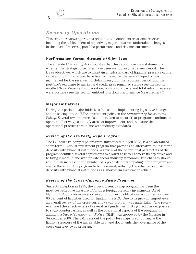# *Review of Operations*

This section reviews operations related to the official international reserves, including the achievement of objectives, major initiatives undertaken, changes in the level of reserves, portfolio performance and risk measurements.

## **Performance Versus Strategic Objectives**

The amended *Currency Act* stipulates that this report provide a statement of whether the strategic objectives have been met during the review period. The three objectives, which are to maintain a high standard of liquidity, preserve capital value and optimize return, have been achieved, as the level of liquidity was maintained for the reserves portfolio throughout the reporting period, and the portfolio's exposure to market and credit risks remained stable (see the section entitled "Risk Measures"). In addition, both cost of carry and total return measures were positive (see the section entitled "Portfolio Performance Measurement").

## **Major Initiatives**

During this period, major initiatives focused on implementing legislative changes and on setting out the EFA's investment policy in the *Statement of Investment Policy*. Several reviews were also undertaken to ensure that programs continue to operate effectively, to identify areas of improvement, and to ensure that operational practices are in line with industry standards.

## *Review of the Tri-Party Repo Program*

The US-dollar tri-party repo program, introduced in April 2003, is a collateralized short-term US-dollar investment program that provides an alternative to unsecured deposits with financial institutions. A review of the operational parameters of the program identified several adjustments to allow it to better achieve its objectives and to bring it more in line with private sector industry standards. The changes should result in an increase in the number of repo dealers participating in the program and enable the size of the program to be increased, reducing the reliance on unsecured deposits with financial institutions as a short-term investment vehicle.

## *Review of the Cross-Currency Swap Program*

Since its inception in 1995, the cross-currency swap program has been the most cost-effective measure of funding foreign currency investments. As of March 31, 2006, cross-currency swaps of domestic obligations accounted for over 60 per cent of liabilities used for funding the EFA. Due to its growing importance, an overall review of the cross-currency swap program was undertaken. The review examined the effectiveness of several risk guidelines limiting credit risk exposure to swap counterparties, as well as the operational aspects of the program. In addition, a *Swap Management Policy* (SMP) was approved by the Minister in September 2006. The SMP sets out the policy for swaps used to manage the liability structure of the marketable debt and documents the governance of the cross-currency swap program.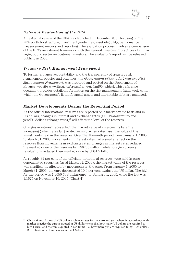#### *External Evaluation of the EFA*

An external review of the EFA was launched in December 2005 focusing on the EFA portfolio structure, investment guidelines, asset eligibility, performance measurement metrics and reporting. The evaluation process involves a comparison of the EFA's investment framework with the general investment practices of similar large, public sector institutional investors. The evaluator's report will be released publicly in 2006.

## *Treasury Risk Management Framework*

To further enhance accountability and the transparency of treasury risk management policies and practices, the *Government of Canada Treasury Risk Management Framework* was prepared and posted on the Department of Finance website www.fin.gc.ca/treas/frame/gcfrmf06\_e.html. This reference document provides detailed information on the risk management framework within which the Government's liquid financial assets and marketable debt are managed.

## **Market Developments During the Reporting Period**

As the official international reserves are reported on a market-value basis and in US dollars, changes in interest and exchange rates (i.e. US-dollar/euro and yen/US-dollar exchange rates) $8$  will affect the level of the reserves.

Changes in interest rates affect the market value of investments by either increasing (when rates fall) or decreasing (when rates rise) the value of the investments held in the reserves. Over the 15-month period from January 1, 2005 to March 31, 2006, movements in interest rates had a smaller effect on the reserves than movements in exchange rates: changes in interest rates reduced the market value of the reserves by US\$706 million, while foreign currency revaluations reduced their market value by US\$1.9 billion.

As roughly 39 per cent of the official international reserves were held in eurodenominated securities (as at March 31, 2006), the market value of the reserves was significantly affected by movements in the euro. From January 1, 2005 to March 31, 2006, the euro depreciated 10.6 per cent against the US dollar. The high for the period was 1.3550 (US dollar/euro) on January 1, 2005, while the low was 1.1675 on November 16, 2005 (Chart 4).

<sup>&</sup>lt;sup>8</sup> Charts 4 and 5 show the US dollar exchange rates for the euro and yen, where in accordance with market practice the euro is quoted in US-dollar terms (i.e. how many US dollars are required to buy 1 euro) and the yen is quoted in yen terms (i.e. how many yen are required to by 1 US dollar). Both charts reflect an increase in the US dollar.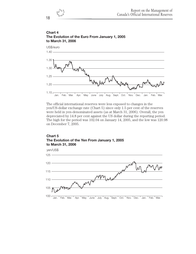

## **Chart 4 The Evolution of the Euro From January 1, 2005 to March 31, 2006**



The official international reserves were less exposed to changes in the yen/US-dollar exchange rate (Chart 5) since only 1.5 per cent of the reserves were held in yen-denominated assets (as at March 31, 2006). Overall, the yen depreciated by 14.8 per cent against the US dollar during the reporting period. The high for the period was 102.04 on January 14, 2005, and the low was 120.98 on December 7, 2005.

#### **Chart 5 The Evolution of the Yen From January 1, 2005 to March 31, 2006**

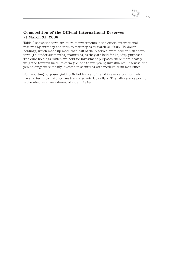## **Composition of the Official International Reserves at March 31, 2006**

Table 2 shows the term structure of investments in the official international reserves by currency and term to maturity as at March 31, 2006. US-dollar holdings, which made up more than half of the reserves, were primarily in shortterm (i.e. under six months) maturities, as they are held for liquidity purposes. The euro holdings, which are held for investment purposes, were more heavily weighted towards medium-term (i.e. one to five years) investments. Likewise, the yen holdings were mostly invested in securities with medium-term maturities.

For reporting purposes, gold, SDR holdings and the IMF reserve position, which have no terms to maturity, are translated into US dollars. The IMF reserve position is classified as an investment of indefinite term.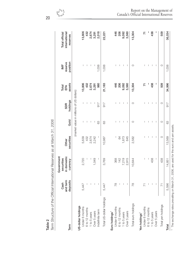|                                             | Cash                 | Government<br>securities |                     |         |                                          | Total         | $\overline{M}$      | Total official            |
|---------------------------------------------|----------------------|--------------------------|---------------------|---------|------------------------------------------|---------------|---------------------|---------------------------|
| Term                                        | and term<br>deposits | in domestic<br>currency  | securities<br>Other | Gold    | holdings<br><b>SDR</b>                   | assets<br>EFA | position<br>reserve | international<br>reserves |
|                                             |                      |                          |                     |         | (market value in millions of US dollars) |               |                     |                           |
| US-dollar holdings                          |                      |                          |                     |         |                                          |               |                     |                           |
| Under 6 months                              | 5,447                | 2,720                    | 5,639               | I       | I                                        | 13,806        | I                   | 13,806                    |
| 6 to 12 months                              |                      |                          | 432                 |         |                                          | 432           |                     | 432                       |
| 1 to 5 years                                |                      |                          | 2,674               |         |                                          | 2,674         |                     |                           |
| Over 5 years                                |                      | 1,049                    | 2,242               | I       | I                                        | 3,291         |                     | 2,674<br>3,291            |
| Indefinite term                             |                      | I                        | I                   | 63      | 517                                      | 980           | 1,038               | 2,018                     |
| Total US-dollar holdings                    | 5,447                | 3,769                    | 10,987              | 63      | 517                                      | 21,183        | 1,038               | 22,221                    |
| Euro holdings <sup>1</sup>                  |                      |                          |                     |         |                                          |               |                     |                           |
| Under 6 months                              | 78                   | 368                      |                     | T       |                                          | 446           |                     | 446                       |
| 6 to 12 months                              |                      | 142                      | 64                  | I       |                                          | 206           |                     | 206                       |
| 1 to 5 years                                |                      | 7,219                    | 1,873               | I       | I                                        | 9,092         | I                   | 9,092                     |
| Over 5 years                                |                      | 2,915                    | 645                 | 1       | T                                        | 3,560         | 1                   | 3,560                     |
| Total euro holdings                         | $\frac{8}{10}$       | 10,644                   | 2,582               | O       | $\circ$                                  | 13,304        | $\circ$             | 13,304                    |
|                                             |                      |                          |                     |         |                                          |               |                     |                           |
| Yen holdings <sup>1</sup><br>Under 6 months |                      | J                        |                     | ı       |                                          | 71            |                     | 71                        |
| 6 to 12 months                              |                      |                          |                     | I       | I                                        |               | I                   |                           |
| 1 to 5 years                                |                      | 438                      | I                   | I       | I                                        | 438           | T                   | 438                       |
| Over 5 years                                |                      | $\mathsf I$              | 1                   | 1       | 1                                        | I             | 1                   | ı                         |
| Total yen holdings                          | $\overline{7}$       | 438                      | $\circ$             | $\circ$ | $\circ$                                  | 509           | $\circ$             | 509                       |
| Total                                       | 5,596                | 14,851                   | 13,569              | 63      | 917                                      | 34,996        | 1,038               | 36,034                    |
|                                             |                      |                          |                     |         |                                          |               |                     |                           |

anno to danni ta *Term Structure of the Official International Reserves as at March 31, 2006* mational D. ina af tha Affinial Intoi  $\frac{1}{2}$ **Table 2**

20

#### Report on the Management of Canada's Official International Reserves

1 The exchange rates prevailing on March 31, 2006, are used for the euro and yen assets. The exchange rates prevailing on March 31, 2006, are used for the euro and yen assets.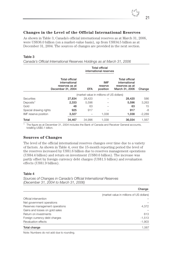

## **Changes in the Level of the Official International Reserves**

As shown in Table 3, Canada's official international reserves as at March 31, 2006, were US\$36.0 billion (on a market-value basis), up from US\$34.5 billion as at December 31, 2004. The sources of changes are provided in the next section.

#### **Table 3**

*Canada's Official International Reserves Holdings as at March 31, 2006*

|                        |                                                                               | <b>Total official</b><br>international reserves |                                   |                                                                            |          |  |
|------------------------|-------------------------------------------------------------------------------|-------------------------------------------------|-----------------------------------|----------------------------------------------------------------------------|----------|--|
|                        | <b>Total official</b><br>international<br>reserves as at<br>December 31, 2004 | <b>EFA</b>                                      | <b>IMF</b><br>reserve<br>position | <b>Total official</b><br>international<br>reserves as at<br>March 31, 2006 | Change   |  |
|                        |                                                                               | (market value in millions of US dollars)        |                                   |                                                                            |          |  |
| <b>Securities</b>      | 27,834                                                                        | 28,420                                          |                                   | 28,420                                                                     | 586      |  |
| Deposits <sup>1</sup>  | 2,333                                                                         | 5.596                                           |                                   | 5,596                                                                      | 3,263    |  |
| Gold                   | 48                                                                            | 63                                              |                                   | 63                                                                         | 15       |  |
| Special drawing rights | 925                                                                           | 917                                             |                                   | 917                                                                        | -8       |  |
| IMF reserve position   | 3,327                                                                         |                                                 | 1,038                             | 1,038                                                                      | $-2,289$ |  |
| Total                  | 34,467                                                                        | 34.996                                          | 1.038                             | 36,034                                                                     | 1,567    |  |

<sup>1</sup> The figure as at December 31, 2004 includes the Bank of Canada and Receiver General accounts, totalling US\$0.1 billion.

#### **Sources of Changes**

The level of the official international reserves changes over time due to a variety of factors. As shown in Table 4, over the 15-month reporting period the level of the reserves increased by US\$1.6 billion due to reserves management operations (US\$4.4 billion) and return on investment (US\$0.6 billion). The increase was partly offset by foreign currency debt charges (US\$1.5 billion) and revaluation effects (US\$1.9 billion).

#### **Table 4**

*Sources of Changes in Canada's Official International Reserves (December 31, 2004 to March 31, 2006)*

|                                | Change                                   |
|--------------------------------|------------------------------------------|
|                                | (market value in millions of US dollars) |
| Official intervention          |                                          |
| Net government operations      |                                          |
| Reserves management operations | 4,372                                    |
| Gains and losses on gold sales |                                          |
| Return on investments          | 613                                      |
| Foreign currency debt charges  | $-1,513$                                 |
| Revaluation effects            | $-1,903$                                 |
| Total change                   | 1,567                                    |

Note: Numbers do not add due to rounding.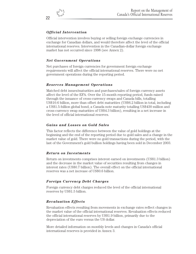## *Official Intervention*

Official intervention involves buying or selling foreign exchange currencies in exchange for Canadian dollars, and would therefore affect the level of the official international reserves. Intervention in the Canadian-dollar foreign exchange market has not occurred since 1998 (see Annex 2).

## *Net Government Operations*

Net purchases of foreign currencies for government foreign exchange requirements will affect the official international reserves. There were no net government operations during the reporting period.

## *Reserves Management Operations*

Matched debt issues/maturities and purchases/sales of foreign currency assets affect the level of the EFA. Over the 15-month reporting period, funds raised through the issuance of cross-currency swaps and Canada bills, totalling US\$10.6 billion, more than offset debt maturities (US\$6.2 billion in total, including a US\$1.5-billion global bond, a Canada note maturity totalling US\$430 million and cross-currency swap maturities of US\$4.3 billion), resulting in a net increase in the level of official international reserves.

## *Gains and Losses on Gold Sales*

This factor reflects the difference between the value of gold holdings at the beginning and the end of the reporting period due to gold sales and a change in the market value of gold. There were no gold transactions during the period, with the last of the Government's gold bullion holdings having been sold in December 2003.

## *Return on Investments*

Return on investments comprises interest earned on investments (US\$1.3 billion) and the decrease in the market value of securities resulting from changes in interest rates (US\$0.7 billion). The overall effect on the official international reserves was a net increase of US\$0.6 billion.

## *Foreign Currency Debt Charges*

Foreign currency debt charges reduced the level of the official international reserves by US\$1.5 billion.

## *Revaluation Effects*

Revaluation effects resulting from movements in exchange rates reflect changes in the market value of the official international reserves. Revaluation effects reduced the official international reserves by US\$1.9 billion, primarily due to the depreciation of the euro versus the US dollar.

More detailed information on monthly levels and changes in Canada's official international reserves is provided in Annex 3.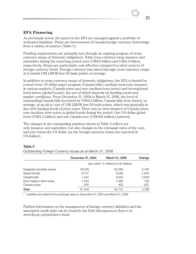

## **EFA Financing**

As previously noted, the assets in the EFA are managed against a portfolio of dedicated liabilities. These are Government of Canada foreign currency borrowings from a variety of sources (Table 5).

Funding requirements are primarily met through an ongoing program of crosscurrency swaps of domestic obligations. Total cross-currency swap issuance and maturities during the reporting period were US\$8.0 billion and US\$4.3 billion, respectively. Swaps are particularly cost-effective compared to other sources of foreign currency funds. Foreign currency was raised through cross-currency swaps at 3-month US\$ LIBOR less 35 basis points on average.

In addition to cross-currency swaps of domestic obligations, the EFA is funded by a short-term US-dollar paper program (Canada bills), medium-term note issuance in various markets (Canada notes and euro medium-term notes) and international bond issues (global bonds), the use of which depends on funding needs and market conditions. From December 31, 2004 to March 31, 2006, the level of outstanding Canada bills increased by US\$2.6 billion. Canada bills were issued, on average, at an all-in cost of US\$ LIBOR less 20 basis points, which was generally in line with funding levels of prior years. There was no new issuance of Canada notes, euro medium-term notes or global bonds during the period. One US-dollar global bond (US\$1.5 billion) and one Canada note (US\$430 million) matured.

The changes in the outstanding numbers shown in Table 5 reflect not only issuance and maturities, but also changes in the exchange rates of the euro and yen versus the US dollar (as the foreign currency issues are reported in US dollars).

#### **Table 5**

*Outstanding Foreign Currency Issues as at March 31, 2006*

|                         | December 31, 2004 | March 31, 2006                                     | Change   |
|-------------------------|-------------------|----------------------------------------------------|----------|
|                         |                   | (par value <sup>1</sup> in millions of US dollars) |          |
| Swapped domestic issues | 19,378            | 22,083                                             | 2,705    |
| Global bonds            | 8,131             | 6,286                                              | $-1,845$ |
| Canada bills            | 1.424             | 4,053                                              | 2,629    |
| Euro-medium term notes  | 1.434             | 1,284                                              | $-150$   |
| Canada notes            | 976               | 425                                                | $-551$   |
| Total                   | 31,343            | 34,131                                             | 2,788    |

<sup>1</sup> Liabilities are stated at the exchange rates on December 31, 2004 and March 31, 2006.

Further information on the management of foreign currency liabilities and the associated credit risks can be found in the *Debt Management Report* at www.fin.gc.ca/purl/dmr-e.html.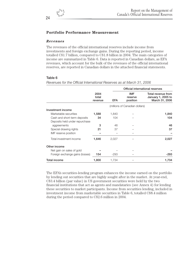## **Portfolio Performance Measurement**

#### *Revenues*

The revenues of the official international reserves include income from investments and foreign exchange gains. During the reporting period, income totalled C\$1.7 billion, compared to C\$1.8 billion in 2004. The main categories of income are summarized in Table 6. Data is reported in Canadian dollars, as EFA revenues, which account for the bulk of the revenues of the official international reserves, are reported in Canadian dollars in the attached financial statements.

#### **Table 6**

*Revenues for the Official International Reserves as at March 31, 2006* **Official international reserves 2004 IMF Total revenue from total reserve January 1, 2005 to revenue EFA position March 31, 2006** (millions of Canadian dollars) **Investment income** Marketable securities **1,588** 1,840 – **1,840** Cash and short-term deposits **34** 104 – **104** Deposits held under repurchase aggreements **3** 46 – **46** Special drawing rights **21** 37 – **37** – **37 IMF** reserve position Total investment income **1,646** 2,027 – **2,027 Other income** Net gain on sales of gold Foreign exchange gains (losses) **154**  $-293$   $-$  **-293**  $-$ **Total income 1,800** 1,734 – **1,734**

The EFA's securities-lending program enhances the income earned on the portfolio by lending out securities that are highly sought after in the market. At year-end, C\$3.4 billion (par value) in US government securities were held by the two financial institutions that act as agents and mandataries (see Annex 4) for lending these securities to market participants. Income from securities lending, included in investment income from marketable securities in Table 6, totalled C\$8.4 million during the period compared to C\$2.6 million in 2004.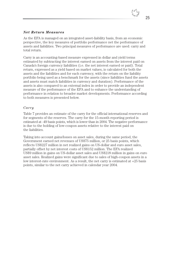

#### *Net Return Measures*

As the EFA is managed on an integrated asset-liability basis, from an economic perspective, the key measures of portfolio performance net the performance of assets and liabilities. Two principal measures of performance are used: carry and total return.

Carry is an accounting-based measure expressed in dollar and yield terms estimated by subtracting the interest earned on assets from the interest paid on Canada's foreign currency liabilities (i.e. the net interest earned or paid). Total return, expressed as a yield based on market values, is calculated for both the assets and the liabilities and for each currency, with the return on the liability portfolio being used as a benchmark for the assets (since liabilities fund the assets and assets must match liabilities in currency and duration). Performance of the assets is also compared to an external index in order to provide an independent measure of the performance of the EFA and to enhance the understanding of performance in relation to broader market developments. Performance according to both measures is presented below.

#### *Carry*

Table 7 provides an estimate of the carry for the official international reserves and for segments of the reserves. The carry for the 15-month reporting period is estimated at -49 basis points, which is lower than in 2004. The negative performance is due to the holding of low-coupon assets relative to the interest paid on the liabilities.

Taking into account gains/losses on asset sales, during the same period, the Government earned net revenues of US\$75 million, or 25 basis points, which reflects US\$227 million in net realized gains on US-dollar and euro asset sales, partially offset by net interest costs of US\$152 million. The EFA realized US\$9 million in gains on US-dollar asset sales and US\$218 million in gains on euro asset sales. Realized gains were significant due to sales of high-coupon assets in a low interest-rate environment. As a result, the net carry is estimated at +25 basis points, similar to the net carry achieved in calendar year 2004.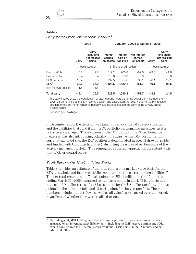#### **Table 7**

*Carry for the Official International Reserves*<sup>1</sup>

|                      | 2004    |                                                       | January 1, 2005 to March 31, 2006 |                                    |                                     |          |                                                       |  |
|----------------------|---------|-------------------------------------------------------|-----------------------------------|------------------------------------|-------------------------------------|----------|-------------------------------------------------------|--|
|                      | Carry   | Carry<br><i>(including)</i><br>net realized<br>qains) | Interest<br>earned<br>on assets   | Interest<br>paid on<br>liabilities | Net interest<br>earned<br>on assets | Carry    | Carry<br><i>(including)</i><br>net realized<br>qains) |  |
|                      |         | (basis points)                                        |                                   | (millions of US dollars)           |                                     |          | (basis points)                                        |  |
| Euro portfolio       | $-7.2$  | 19.7                                                  | 617.2                             | 706.8                              | $-89.6$                             | $-29.0$  | 41.6                                                  |  |
| Yen portfolio        |         |                                                       | 13.8                              | 13.8                               | $\Omega$                            | $\Omega$ | $\Omega$                                              |  |
| US\$ portfolio       | $-13.4$ | 5.3                                                   | 797.5                             | 859.6                              | $-62.1$                             | $-20.1$  | $-17.1$                                               |  |
| $EFA^2$              | $-20.6$ | 25.0                                                  | 1.428.5                           | 1.580.2                            | $-151.7$                            | $-49.1$  | 24.5                                                  |  |
| IMF reserve position | 1.5     | 1.5                                                   |                                   |                                    |                                     |          |                                                       |  |
| <b>Total carry</b>   | $-19.1$ | 26.5                                                  | 1.428.5                           | 1.580.2                            | $-151.7$                            | $-49.1$  | 24.5                                                  |  |

The carry figures show the contribution of each currency portfolio to the overall carry. Numbers for 2005–06 do not include the IMF reserve position and associated liabilities. Including the IMF reserve position for the 15-month reporting period would have decreased the carry of the EFA by about 8 basis points.

<sup>2</sup> Excludes gold holdings.

In December 2005, the decision was taken to remove the IMF reserve position and the liabilities that fund it from EFA portfolio performance measures, as it is not actively managed. The inclusion of the IMF position in EFA performance measures was also introducing volatility in returns, as the IMF position is not currency matched (i.e. the IMF position is denominated in special drawing rights and funded with US-dollar liabilities), distorting measures of performance of the actively managed portfolio. This segregated reporting approach is consistent with that of other central banks.

#### *Total Return On Market-Value Basis*

Table 8 provides an estimate of the total return on a market-value basis for the EFA as a whole and its key portfolios compared to the corresponding liabilities.<sup>9</sup> The net total return was +17 basis points, or US\$44 million, in the 15 months ending March 31, 2006 compared to +20 basis points in 2004. This reflects net returns in US dollar terms of +23 basis points for the US-dollar portfolio, +14 basis points for the euro portfolio and -3 basis points for the yen portfolio. These numbers include interest flows as well as all gains/losses earned over the period, regardless of whether they were realized or not.

26

<sup>9</sup> Excluding gold, SDR holdings and the IMF reserve position as those assets are not actively managed on an integrated asset-liability basis. Including the IMF reserve position and SDRs would have reduced the EFA total return by about 6 basis points in the 15 months ending March 31, 2006.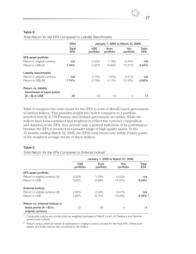#### **Table 8**

|                                                   | 2004<br>January 1, 2005 to March 31, 2006 |                   |                   |                  |                     |
|---------------------------------------------------|-------------------------------------------|-------------------|-------------------|------------------|---------------------|
|                                                   | Total<br><b>EFA</b>                       | US\$<br>portfolio | Euro<br>portfolio | Yen<br>portfolio | Total<br><b>EFA</b> |
| EFA asset portfolio                               |                                           |                   |                   |                  |                     |
| Return in original currency                       | n/a                                       | 3.02%             | 1.78%             | $-0.45%$         | n/a                 |
| Return in US\$ (A)                                | 7.74%                                     | 3.02%             | $-8.99\%$         | $-13.31%$        | $-3.42%$            |
| <b>Liability benchmarks</b>                       |                                           |                   |                   |                  |                     |
| Return in original currency                       | n/a                                       | 2.79%             | 1.62%             | $-0.41%$         | n/a                 |
| Return in US\$ (B)                                | 7.74%                                     | 2.79%             | $-9.13%$          | $-13.28\%$       | $-3.60\%$           |
| Return vs. liability<br>benchmark in basis points |                                           |                   |                   |                  |                     |
| $(A - B)$ in US\$                                 | 20                                        | 23                | 14                | -3               | 17                  |

*Total Return for the EFA Compared to Liability Benchmarks*

Table 9 compares the total return for the EFA to a set of Merrill Lynch government securities indices. This provides insight into how it compares to a portfolio invested strictly in US Treasury and German government securities. While the indices have been combined and weighted to reflect the currency composition and duration of the EFA, they provide only a general indication of its performance because the EFA is invested in a broader range of high quality assets. In the 15 months ending March 31, 2006, the EFA's total return was within 2 basis points of the weighted average return of these indices.

#### **Table 9**

*Total Return for the EFA Compared to External Indices*<sup>1</sup>

|                                                | January 1, 2005 to March 31, 2006 |                   |                  |                        |
|------------------------------------------------|-----------------------------------|-------------------|------------------|------------------------|
|                                                | US\$<br>portfolio                 | Euro<br>portfolio | Yen<br>portfolio | Total<br><b>EFA</b>    |
| EFA asset portfolio                            |                                   |                   |                  |                        |
| Return in original currency (A)                | $3.02\%$                          | 1.78%             | $-0.45%$         | n/a                    |
| Return in US\$                                 | $3.02\%$                          | $-8.99\%$         | $-13.31%$        | $-3.42%$               |
| <b>External indices</b>                        |                                   |                   |                  |                        |
| Return in original currency (B)                | 2.80%                             | 2.04%             | $-0.41\%$        | n/a                    |
| Return in US\$                                 | 2.80%                             | $-8.75%$          | $-13.28%$        | $-3.40\%$ <sup>2</sup> |
| Return vs. external indices in                 |                                   |                   |                  |                        |
| basis points $(A - B)$ in<br>original currency | 22                                | $-26$             | -4               | -2                     |

<sup>1</sup> Composite indices are constructed as weighted averages of Merrill Lynch US Treasury and German government indices.

<sup>2</sup> Return versus external indices is expressed in original currency except for the total EFA, where both assets and index returns are converted to US dollars.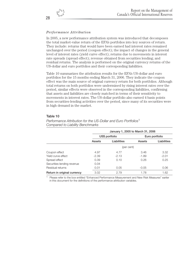## *Performance Attribution*

In 2005, a new performance attribution system was introduced that decomposes the total market-value return of the EFA's portfolios into key sources of return. They include: returns that would have been earned had interest rates remained unchanged over the period (coupon effect); the impact of changes in the general level of interest rates (yield curve effect); returns due to movements in interest rate spreads (spread effect); revenue obtained from securities lending; and residual returns. The analysis is performed on the original currency returns of the US-dollar and euro portfolios and their corresponding liabilities.

Table 10 summarizes the attribution results for the EFA's US-dollar and euro portfolios for the 15 months ending March 31, 2006. They indicate the coupon effect was the main source of original currency return for both portfolios. Although total returns on both portfolios were undermined by rising interest rates over the period, similar effects were observed in the corresponding liabilities, confirming that assets and liabilities are closely matched in terms of their sensitivity to movements in interest rates. The US-dollar portfolio also earned 4 basis points from securities-lending activities over the period, since many of its securities were in high demand in the market.

#### **Table 10**

|                             | January 1, 2005 to March 31, 2006 |                |         |                |  |  |
|-----------------------------|-----------------------------------|----------------|---------|----------------|--|--|
|                             |                                   | US\$ portfolio |         | Euro portfolio |  |  |
|                             | Assets                            | Liabilities    | Assets  | Liabilities    |  |  |
|                             |                                   | (per cent)     |         |                |  |  |
| Coupon effect               | 4.97                              | 4.77           | 3.46    | 3.32           |  |  |
| Yield curve effect          | $-2.39$                           | $-2.13$        | $-1.89$ | $-2.01$        |  |  |
| Spread effect               | 0.39                              | 0.10           | 0.26    | 0.25           |  |  |
| Securities-lending revenue  | 0.04                              |                |         |                |  |  |
| Residual returns            | 0.01                              | 0.05           | $-0.05$ | 0.06           |  |  |
| Return in original currency | 3.02                              | 2.79           | 1.78    | 1.62           |  |  |

*Performance Attribution for the US-Dollar and Euro Portfolios*<sup>1</sup> *Compared to Liability Benchmarks*

<sup>1</sup> Please refer to the box entitled "Enhanced Performance Measurement and New Risk Measures" earlier in this document for the definitions of the performance attribution variables.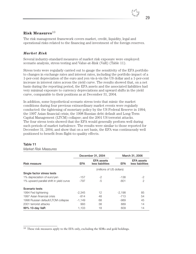

## **Risk Measures**<sup>10</sup>

The risk management framework covers market, credit, liquidity, legal and operational risks related to the financing and investment of the foreign reserves.

#### *Market Risk*

Several industry-standard measures of market risk exposure were employed: scenario analysis, stress testing and Value-at-Risk (VaR) (Table 11).

Stress tests were regularly carried out to gauge the sensitivity of the EFA portfolio to changes in exchange rates and interest rates, including the portfolio impact of a 1-per-cent depreciation of the euro and yen vis-à-vis the US dollar and a 1-per-cent increase in interest rates across the yield curve. The results showed that, on a net basis during the reporting period, the EFA assets and the associated liabilities had very minimal exposure to currency depreciations and upward shifts in the yield curve, comparable to their positions as at December 31, 2004.

In addition, some hypothetical scenario stress tests that mimic the market conditions during four previous extraordinary market events were regularly conducted: the tightening of monetary policy by the US Federal Reserve in 1994; the 1997 Asian financial crisis; the 1998 Russian debt default and Long-Term Capital Management (LTCM) collapse; and the 2001 US terrorist attacks. The four stress tests showed that the EFA would generally perform well during such periods of market turbulence. The results were similar to those reported for December 31, 2004, and show that on a net basis, the EFA was continuously well positioned to benefit from flight-to-quality effects.

#### **Table 11**

#### *Market Risk Measures*

|                                         |          | December 31, 2004                     |          | March 31, 2006                 |
|-----------------------------------------|----------|---------------------------------------|----------|--------------------------------|
| Risk measure                            | EFA      | <b>EFA</b> assets<br>less liabilities | EFA.     | EFA assets<br>less liabilities |
|                                         |          | (millions of US dollars)              |          |                                |
| Single factor stress tests              |          |                                       |          |                                |
| 1% depreciation of euro/yen             | $-157$   | $-2$                                  | -138     | $-2$                           |
| 1% upward parallel shift in yield curve | -797     | $-5$                                  | $-801$   | 2                              |
| Scenario tests                          |          |                                       |          |                                |
| 1994 Fed tightening                     | $-2,345$ | 12                                    | $-2.198$ | 85                             |
| 1997 Asian financial crisis             | $-814$   | 48                                    | $-713$   | 54                             |
| 1998 Russian default/LTCM collapse      | $-1,149$ | 68                                    | -989     | 45                             |
| 2001 terrorist attacks                  | 993      | 38                                    | 889      | 14                             |
| 99% 10-day VaR                          | 1.103    | 18                                    | 609      | 14                             |

 $10$  These risk measures apply to the EFA only, excluding the SDRs and gold holdings.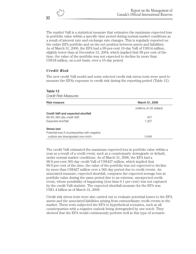The market VaR is a statistical measure that estimates the maximum expected loss in portfolio value within a specific time period during normal market conditions as a result of interest rate and exchange rate changes. This is regularly reported on the entire EFA portfolio and on the net position between assets and liabilities. As of March 31, 2006, the EFA had a 99-per-cent 10-day VaR of US\$14 million, slightly lower than at December 31, 2004, which implied that 99 per cent of the time, the value of the portfolio was not expected to decline by more than US\$18 million, on a net basis, over a 10-day period.

#### *Credit Risk*

**Table 12**

The new credit VaR model and some selected credit risk stress tests were used to measure the EFA's exposure to credit risk during the reporting period (Table 12).

| <b>Credit Risk Measures</b>                    |                          |
|------------------------------------------------|--------------------------|
| Risk measure                                   | March 31, 2006           |
|                                                | (millions of US dollars) |
| Credit VaR and expected shortfall              |                          |
| 99.9% 365-day credit VaR                       | 427                      |
| Expected shortfall                             | 1,357                    |
| <b>Stress test</b>                             |                          |
| Potential loss if counterparties with negative |                          |
| outlook are downgraded one notch               | 0.646                    |

The credit VaR estimated the maximum expected loss in portfolio value within a year as a result of a credit event, such as a counterparty downgrade or default, under normal market conditions. As of March 31, 2006, the EFA had a 99.9-per-cent 365-day credit VaR of US\$427 million, which implied that 99.9 per cent of the time, the value of the portfolio was not expected to decline by more than US\$427 million over a 365-day period due to credit events. An associated measure, expected shortfall, computes the expected average loss in portfolio value during the same period due to an extreme, unexpected credit event, whose possibility of happening (less than 0.1 per cent) was not captured by the credit VaR statistic. The expected shortfall measure for the EFA was US\$1.4 billion as of March 31, 2006.

Credit risk stress tests were also carried out to evaluate potential losses to the EFA assets and the associated liabilities arising from extraordinary credit events in the market. These tests subjected the EFA to hypothetical scenarios, such as all counterparties with a negative outlook being downgraded by one notch. They showed that the EFA would continuously perform well in this type of scenario.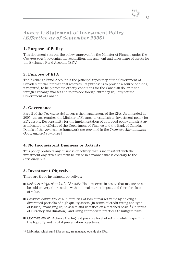

## *Annex 1:* **Statement of Investment Policy** *(Effective as of September 2006)*

## **1. Purpose of Policy**

This document sets out the policy, approved by the Minister of Finance under the *Currency Act*, governing the acquisition, management and divestiture of assets for the Exchange Fund Account (EFA).

## **2. Purpose of EFA**

The Exchange Fund Account is the principal repository of the Government of Canada's official international reserves. Its purpose is to provide a source of funds, if required, to help promote orderly conditions for the Canadian dollar in the foreign exchange market and to provide foreign currency liquidity for the Government of Canada.

## **3. Governance**

Part II of the *Currency Act* governs the management of the EFA. As amended in 2005, the act requires the Minister of Finance to establish an investment policy for EFA assets. Responsibility for the implementation of approved policy and strategy is delegated to officials of the Department of Finance and the Bank of Canada. Details of the governance framework are provided in the *Treasury Management Governance Framework*.

## **4. No Inconsistent Business or Activity**

This policy prohibits any business or activity that is inconsistent with the investment objectives set forth below or in a manner that is contrary to the *Currency Act*.

## **5. Investment Objective**

There are three investment objectives:

- *Maintain a high standard of liquidity:* Hold reserves in assets that mature or can be sold on very short notice with minimal market impact and therefore loss of value.
- *Preserve capital value:* Minimize risk of loss of market value by holding a diversified portfolio of high quality assets (in terms of credit rating and type of issuer), managing liquid assets and liabilities on a matched basis<sup>11</sup> (in terms of currency and duration), and using appropriate practices to mitigate risks.
- *Optimize return:* Achieve the highest possible level of return, while respecting the liquidity and capital preservation objectives.

<sup>11</sup> Liabilities, which fund EFA assets, are managed outside the EFA.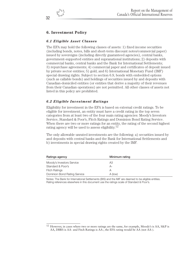## **6. Investment Policy**

## *6.1 Eligible Asset Classes*

The EFA may hold the following classes of assets: 1) fixed income securities (including bonds, notes, bills and short-term discount notes/commercial paper) issued by sovereigns (including directly guaranteed agencies), central banks, government-supported entities and supranational institutions; 2) deposits with commercial banks, central banks and the Bank for International Settlements; 3) repurchase agreements; 4) commercial paper and certificates of deposit issued by private sector entities; 5) gold; and 6) International Monetary Fund (IMF) special drawing rights. Subject to section 6.9, bonds with embedded options (such as callable bonds) and holdings of securities issued by and deposits with Canadian-domiciled entities (or entities that derive a majority of their revenues from their Canadian operations) are not permitted. All other classes of assets not listed in this policy are prohibited.

#### *6.2 Eligible Investment Ratings*

Eligibility for investment in the EFA is based on external credit ratings. To be eligible for investment, an entity must have a credit rating in the top seven categories from at least two of the four main rating agencies: Moody's Investors Service, Standard & Poor's, Fitch Ratings and Dominion Bond Rating Service. When there are two or more ratings for an entity, the rating of the second highest rating agency will be used to assess eligibility.<sup>12</sup>

The only allowable unrated investments are the following: a) securities issued by and deposits with central banks and the Bank for International Settlements and b) investments in special drawing rights created by the IMF.

| Ratings agency               | Minimum rating |
|------------------------------|----------------|
| Moody's Investors Service    | AЗ             |
| Standard & Poor's            | А-             |
| <b>Fitch Ratings</b>         | А              |
| Dominion Bond Rating Service | A (low)        |

Notes: The Bank for International Settlements (BIS) and the IMF are deemed to be eligible entities. Rating references elsewhere in this document use the ratings scale of Standard & Poor's.

<sup>12</sup> However, in cases where two or more ratings are the same, for example, Moody's is AA, S&P is AA, DBRS is AA- and Fitch Ratings is AA-, the EFA rating would be AA (not AA-).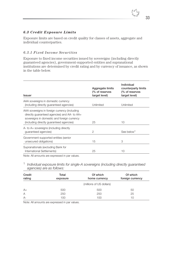

#### *6.3 Credit Exposure Limits*

Exposure limits are based on credit quality for classes of assets, aggregate and individual counterparties.

#### *6.3.1 Fixed Income Securities*

Exposure to fixed income securities issued by sovereigns (including directly guaranteed agencies), government-supported entities and supranational institutions are determined by credit rating and by currency of issuance, as shown in the table below.

| Aggregate limits<br>(% of reserves<br>target level) | Individual<br>counterparty limits<br>(% of reserves<br>target level) |
|-----------------------------------------------------|----------------------------------------------------------------------|
| Unlimited                                           | Unlimited                                                            |
| 25                                                  | 10                                                                   |
| $\overline{2}$                                      | See below <sup>1</sup>                                               |
| 15                                                  | 3                                                                    |
| 25                                                  | 10                                                                   |
|                                                     |                                                                      |

Note: All amounts are expressed in par values.

<sup>1</sup> *Individual exposure limits for single-A sovereigns (including directly guaranteed agencies) are as follows:*

| Credit<br>rating | Total<br>exposure | Of which<br>home currency | Of which<br>foreign currency |
|------------------|-------------------|---------------------------|------------------------------|
|                  |                   | (millions of US dollars)  |                              |
| $A+$             | 500               | 500                       | 50                           |
| $\overline{A}$   | 250               | 250                       | 25                           |
| $A -$            | 100               | 100                       | 10                           |

Note: All amounts are expressed in par values.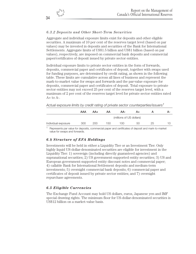#### *6.3.2 Deposits and Other Short-Term Securities*

Aggregate and individual exposure limits exist for deposits and other eligible securities. A maximum of 10 per cent of the reserves target level (based on par values) may be invested in deposits and securities of the Bank for International Settlements. Aggregate limits of US\$1.5 billion and US\$1 billion (based on par values), respectively, are imposed on commercial bank deposits and commercial paper/certificates of deposit issued by private sector entities.

Individual exposure limits to private sector entities in the form of forwards, deposits, commercial paper and certificates of deposit, together with swaps used for funding purposes, are determined by credit rating, as shown in the following table. These limits are cumulative across all lines of business and represent the mark-to-market value for swaps and forwards and the par-value exposure for deposits, commercial paper and certificates of deposit. Total exposure to private sector entities may not exceed 25 per cent of the reserves target level, with a maximum of 2 per cent of the reserves target level for private sector entities rated  $A+$  to  $A-$ .

*Actual exposure limits by credit rating of private sector counterparties/issuers1*

|                     | AAA | AA+ | AA  | AA-                      | A+ |    | А- |
|---------------------|-----|-----|-----|--------------------------|----|----|----|
|                     |     |     |     | (millions of US dollars) |    |    |    |
| Individual exposure | 300 | 200 | 150 | 100                      | 50 | 25 |    |

<sup>1</sup> Represents par value for deposits, commercial paper and certificates of deposit and mark-to-market value for swaps and forwards.

## *6.4 Structure of EFA Holdings*

Investments will be held in either a Liquidity Tier or an Investment Tier. Only highly liquid US-dollar-denominated securities are eligible for investment in the Liquidity Tier: 1) sovereign (including directly guaranteed agencies) and supranational securities; 2) US government-supported entity securities; 3) US and European government-supported entity discount notes and commercial paper; 4) callable Bank for International Settlement deposits and medium-term investments; 5) overnight commercial bank deposits; 6) commercial paper and certificates of deposit issued by private sector entities; and 7) overnight repurchase agreements.

#### *6.5 Eligible Currencies*

The Exchange Fund Account may hold US dollars, euros, Japanese yen and IMF special drawing rights. The minimum floor for US-dollar-denominated securities is US\$12 billion on a market-value basis.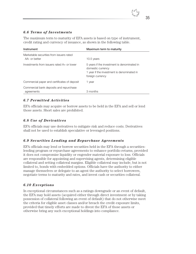

## *6.6 Terms of Investments*

The maximum term to maturity of EFA assets is based on type of instrument, credit rating and currency of issuance, as shown in the following table.

| Instrument                                                | Maximum term to maturity                                                                                                           |
|-----------------------------------------------------------|------------------------------------------------------------------------------------------------------------------------------------|
| Marketable securities from issuers rated<br>AA- or better | 10.5 years                                                                                                                         |
| Investments from issuers rated A+ or lower                | 5 years if the investment is denominated in<br>domestic currency<br>1 year if the investment is denominated in<br>foreign currency |
| Commercial paper and certificates of deposit              | 1 year                                                                                                                             |
| Commercial bank deposits and repurchase<br>agreements     | 3 months                                                                                                                           |

## *6.7 Permitted Activities*

EFA officials may acquire or borrow assets to be held in the EFA and sell or lend those assets. Short sales are prohibited.

## *6.8 Use of Derivatives*

EFA officials may use derivatives to mitigate risk and reduce costs. Derivatives shall not be used to establish speculative or leveraged positions.

## *6.9 Securities Lending and Repurchase Agreements*

EFA officials may lend or borrow securities held in the EFA through a securitieslending program or repurchase agreements to enhance portfolio returns, provided it does not compromise liquidity or engender material exposure to loss. Officials are responsible for appointing and supervising agents, determining eligible collateral and setting collateral margins. Eligible collateral may include, but is not limited to, bonds with embedded options. Officials have the authority to either manage themselves or delegate to an agent the authority to select borrowers, negotiate terms to maturity and rates, and invest cash or securities collateral.

## *6.10 Exceptions*

In exceptional circumstances such as a ratings downgrade or an event of default, the EFA may hold assets (acquired either through direct investment or by taking possession of collateral following an event of default) that do not otherwise meet the criteria for eligible asset classes and/or breach the credit exposure limits, provided that timely efforts are made to divest the EFA of those assets or otherwise bring any such exceptional holdings into compliance.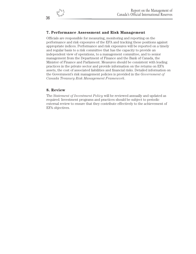## **7. Performance Assessment and Risk Management**

Officials are responsible for measuring, monitoring and reporting on the performance and risk exposures of the EFA and tracking these positions against appropriate indices. Performance and risk exposures will be reported on a timely and regular basis to a risk committee that has the capacity to provide an independent view of operations, to a management committee, and to senior management from the Department of Finance and the Bank of Canada, the Minister of Finance and Parliament. Measures should be consistent with leading practices in the private sector and provide information on the returns on EFA assets, the cost of associated liabilities and financial risks. Detailed information on the Government's risk management policies is provided in the *Government of Canada Treasury Risk Management Framework*.

#### **8. Review**

The *Statement of Investment Policy* will be reviewed annually and updated as required. Investment programs and practices should be subject to periodic external review to ensure that they contribute effectively to the achievement of EFA objectives.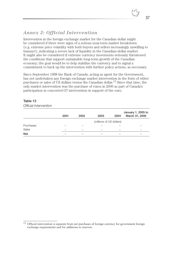# *Annex 2: Official Intervention*

Intervention in the foreign exchange market for the Canadian dollar might be considered if there were signs of a serious near-term market breakdown (e.g. extreme price volatility with both buyers and sellers increasingly unwilling to transact), indicating a severe lack of liquidity in the Canadian-dollar market. It might also be considered if extreme currency movements seriously threatened the conditions that support sustainable long-term growth of the Canadian economy; the goal would be to help stabilize the currency and to signal a commitment to back up the intervention with further policy actions, as necessary.

Since September 1998 the Bank of Canada, acting as agent for the Government, has not undertaken any foreign exchange market intervention in the form of either purchases or sales of US dollars versus the Canadian dollar.13 Since that time, the only market intervention was the purchase of euros in 2000 as part of Canada's participation in concerted G7 intervention in support of the euro.

#### **Table 13**

*Official Intervention*

|            | 2001 | 2002 | 2003                     | 2004 | January 1, 2005 to<br>March 31, 2006 |
|------------|------|------|--------------------------|------|--------------------------------------|
|            |      |      | (millions of US dollars) |      |                                      |
| Purchases  |      |      |                          |      |                                      |
| Sales      |      |      |                          |      |                                      |
| <b>Net</b> |      |      |                          |      |                                      |

<sup>13</sup> Official intervention is separate from net purchases of foreign currency for government foreign exchange requirements and for additions to reserves.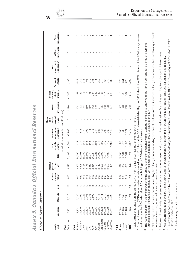|                          | Month-to-Month Changes                                                                                      |                |                   |                                           |                                                   |        |                            |                                                   |                                            |                                                                                                                                                                 |                                        |                        |                                                   |                          |                                                                |
|--------------------------|-------------------------------------------------------------------------------------------------------------|----------------|-------------------|-------------------------------------------|---------------------------------------------------|--------|----------------------------|---------------------------------------------------|--------------------------------------------|-----------------------------------------------------------------------------------------------------------------------------------------------------------------|----------------------------------------|------------------------|---------------------------------------------------|--------------------------|----------------------------------------------------------------|
| Month-<br>end            | Securities                                                                                                  | Deposits       | Gold <sup>1</sup> | drawing<br>rights <sup>2</sup><br>Special | Reserve<br>position<br>in the<br>$\mathsf{IMF}^3$ | Total  | monthly<br>change<br>Total | management<br>operations <sup>4</sup><br>Reserves | on gold<br>losses<br>Gains<br>sales<br>and | investments <sup>5</sup><br>Return<br>δ                                                                                                                         | currency<br>Foreign<br>charges<br>debt | Revaluation<br>effects | government<br>operations <sup>6</sup><br><b>z</b> | intervention<br>Official | transactions <sup>7</sup><br>Other                             |
|                          |                                                                                                             |                |                   |                                           |                                                   |        |                            | (market value in millions of US dollars)          |                                            |                                                                                                                                                                 |                                        |                        |                                                   |                          |                                                                |
| December<br>2004         | 28,151                                                                                                      | 2,016          | $\frac{8}{4}$     | 925                                       | 3,327                                             | 34,467 | $-1,801$                   | $-2,963$                                          | $\circ$                                    | 1,176                                                                                                                                                           | $-1,208$                               | 1,193                  | $\circ$                                           | $\circ$                  |                                                                |
| 2005                     |                                                                                                             |                |                   |                                           |                                                   |        |                            |                                                   |                                            |                                                                                                                                                                 |                                        |                        |                                                   |                          |                                                                |
| January                  | 28,354                                                                                                      | 2,030          | 46                | 905                                       | 3,255                                             | 34,590 | 124                        | 715                                               |                                            | 104                                                                                                                                                             | -47                                    | 648                    |                                                   |                          |                                                                |
| February                 | 29,316                                                                                                      | 2,065          | 47                | 925                                       | 3,208                                             | 35,561 | 971                        | 813                                               |                                            | -62                                                                                                                                                             | $-25$                                  | 245                    | 00000000000                                       | 0 0 0 0 0 0 0 0 0 0 0 0  | $\circ\circ\circ\circ\circ\lnot\circ\circ\lnot\circ\circ\lnot$ |
| March                    | 29,201                                                                                                      | 2,922          | 47                |                                           | 3,164                                             | 36,250 | 689                        | 1,134                                             |                                            | $\frac{8}{3}$                                                                                                                                                   | $-115$                                 | $-378$                 |                                                   |                          |                                                                |
| April                    | 29,398                                                                                                      | 2,065          | 47                | $916$<br>$916$                            | 3,176                                             | 35,602 | $-648$                     | $-792$                                            | 00000000000                                | 289                                                                                                                                                             | -77                                    | $-68$                  |                                                   |                          |                                                                |
| Nay                      | 29,210                                                                                                      | 2,058          | 45                | 904                                       | 2,817                                             | 35,034 | -568                       | $\overline{76}$                                   |                                            | 160                                                                                                                                                             | -55                                    | $-749$                 |                                                   |                          |                                                                |
| June                     |                                                                                                             |                | $\frac{8}{4}$     |                                           | 2,484                                             | 34,924 | $-110$                     | 278                                               |                                            | 142                                                                                                                                                             | $-244$                                 | -285                   |                                                   |                          |                                                                |
| <b>S</b>                 | 28,909<br>27,976<br>27,086                                                                                  | 2,590<br>2,314 | 47                | 893                                       | 2,101                                             | 33,328 | $-1,595$                   | $-1,244$                                          |                                            | $-110$                                                                                                                                                          | $-242$                                 |                        |                                                   |                          |                                                                |
| August                   |                                                                                                             | 4,146          | 47                | 907                                       | 2,113                                             | 34,299 | 971                        | 538                                               |                                            | 214                                                                                                                                                             | $-40$                                  | 259                    |                                                   |                          |                                                                |
| September                | 27,108                                                                                                      | 3,441          |                   | 900                                       | 2,098                                             | 33,599 | -700                       | $-156$                                            |                                            | -85                                                                                                                                                             | -86                                    | $-374$                 |                                                   |                          |                                                                |
| October                  | 27,350                                                                                                      | 3,773          | 8538              | 898                                       | 2,142                                             | 34,214 | 615                        | 906                                               |                                            | $-113$                                                                                                                                                          | $-114$                                 | $-64$                  |                                                   |                          |                                                                |
| November                 | 26,879                                                                                                      | 4,333          |                   | 894                                       | 2,039                                             | 34,199 | $-15$                      | 265                                               |                                            | $\mathbb{S}^3$                                                                                                                                                  | -65                                    | $-278$                 |                                                   |                          |                                                                |
| December                 | 26,741                                                                                                      | 3,923          |                   | 897                                       | 1,401                                             | 33,018 | $-1,181$                   | $-1,145$                                          |                                            | 107                                                                                                                                                             | 228                                    | 86                     |                                                   |                          |                                                                |
| 2006                     |                                                                                                             |                |                   |                                           |                                                   |        |                            |                                                   |                                            |                                                                                                                                                                 |                                        |                        |                                                   |                          |                                                                |
| January                  | 27,274                                                                                                      | 3,674          | 8                 | 505                                       | 1,042                                             | 32,959 | -59                        | $-358$                                            |                                            | -77                                                                                                                                                             | ကု                                     | 379                    |                                                   |                          |                                                                |
| February                 | 27,125                                                                                                      | 3,556          | $\overline{6}$    | 908                                       | 1,034                                             | 32,684 | $-275$                     | $-32$                                             | $\circ \circ \circ$                        | 46                                                                                                                                                              | $-38$                                  | $-251$                 | $\circ \circ \circ$                               | 000                      | $\circ$ $\circ$ $\sim$                                         |
| March                    | 28,420                                                                                                      | 5,596          | යි                | 917                                       | 1,038                                             | 36,034 | 3,350                      | 3,374                                             |                                            | $-113$                                                                                                                                                          | $-134$                                 | 222                    |                                                   |                          |                                                                |
| Total $^8$               | n/a                                                                                                         | n/a            | n/a               | n/a                                       | n/a                                               | n/a    | 1,567                      | 4,372                                             | $\circ$                                    | 613                                                                                                                                                             | $-1,513$                               | $-1,903$               | $\circ$                                           | $\circ$                  | $\circ$                                                        |
|                          | Gold valuation is based on the London p.m. fix                                                              |                |                   |                                           |                                                   |        |                            | on the last business day of the reporting month.  |                                            |                                                                                                                                                                 |                                        |                        |                                                   |                          |                                                                |
| $\mathbb{N}$             | Special drawing right (SDR)-denominated asset<br>an increase in the US-dollar value of Canada's             |                |                   |                                           | holdings of SDR-denominated assets.               |        |                            |                                                   |                                            | s are valued in US dollars at the SDR rate established by the IMF. A rise in the SDR in terms of the US dollar generates                                        |                                        |                        |                                                   |                          |                                                                |
| S                        | purposes. It equals the Canadian quota, less IMF holdings of Canadian dollars, plus loans to the IMF.       |                |                   |                                           |                                                   |        |                            |                                                   |                                            | The reserve position in the IMF represents the amount of foreign exchange which Canada is entitled to draw from the IMF on demand for balance of payments       |                                        |                        |                                                   |                          |                                                                |
|                          |                                                                                                             |                |                   |                                           |                                                   |        |                            |                                                   |                                            |                                                                                                                                                                 |                                        |                        |                                                   |                          |                                                                |
| 4                        | increases reserves, while maturities decrease reserves).<br>Net change in securities and deposits resulting |                |                   |                                           |                                                   |        |                            |                                                   |                                            | from foreign currency funding activities of the Government. (Issuance of foreign currency liabilities used to acquire assets                                    |                                        |                        |                                                   |                          |                                                                |
| LO                       |                                                                                                             |                |                   |                                           |                                                   |        |                            |                                                   |                                            | Return on investments comprises interest earned on investments and changes in the market value of securities resulting from changes in interest rates.          |                                        |                        |                                                   |                          |                                                                |
| $\circlearrowright$      |                                                                                                             |                |                   |                                           |                                                   |        |                            |                                                   |                                            | Net government operations are the net purchases of foreign currency for government foreign exchange requirements and for additions to reserves.                 |                                        |                        |                                                   |                          |                                                                |
| $\overline{\phantom{a}}$ | Canada Limited in 2001.                                                                                     |                |                   |                                           |                                                   |        |                            |                                                   |                                            | Related to the securities assumed by the Government of Canada following the privatization of Petro-Canada in July 1991 and the subsequent dissolution of Petro- |                                        |                        |                                                   |                          |                                                                |

Annex 3: Canada's Official International Reserves *Annex 3: Canada's Official International Reserves*

38

Numbers may not add due to rounding. Numbers may not add due to rounding.

 $\infty$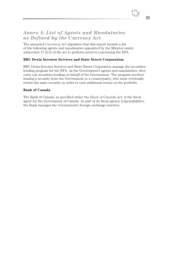## *Annex 4: List of Agents and Mandataries as Defined by the* **Currency Act**

The amended *Currency Act* stipulates that this report include a list of the following agents and mandataries appointed by the Minister under subsection 17.2(3) of the act to perform services concerning the EFA.

#### **RBC Dexia Investor Services and State Street Corporation**

RBC Dexia Investor Services and State Street Corporation manage the securitieslending program for the EFA. As the Government's agents and mandataries, they carry out securities lending on behalf of the Government. The program involves loaning a security from the Government to a counterparty, who must eventually return the same security, in order to earn additional return on the portfolio.

#### **Bank of Canada**

The Bank of Canada, as specified under the *Bank of Canada Act*, is the fiscal agent for the Government of Canada. As part of its fiscal agency responsibilities, the Bank manages the Government's foreign exchange reserves.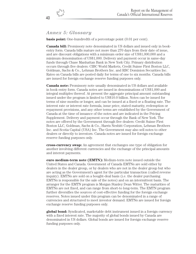# *Annex 5: Glossary*

**basis point:** One-hundredth of a percentage point  $(0.01$  per cent).

**Canada bill:** Promissory note denominated in US dollars and issued only in bookentry form. Canada bills mature not more than 270 days from their date of issue, and are discount obligations with a minimum order size of US\$1,000,000 and a minimum denomination of US\$1,000. Delivery and payment occur in same-day funds through Chase Manhattan Bank in New York City. Primary distribution occurs through five dealers: CIBC World Markets, Credit Suisse First Boston LLC, Goldman, Sachs & Co., Lehman Brothers Inc. and RBC Dominion Securities Inc. Rates on Canada bills are posted daily for terms of one to six months. Canada bills are issued for foreign exchange reserve funding purposes only.

**Canada note:** Promissory note usually denominated in US dollars and available in book-entry form. Canada notes are issued in denominations of US\$1,000 and integral multiples thereof. At present the aggregate principal amount outstanding issued under the program is limited to US\$10.0 billion. Notes can be issued for terms of nine months or longer, and can be issued at a fixed or a floating rate. The interest rate or interest rate formula, issue price, stated maturity, redemption or repayment provisions, and any other terms are established by the Government of Canada at the time of issuance of the notes and are indicated in the Pricing Supplement. Delivery and payment occur through the Bank of New York. The notes are offered by the Government through five dealers: Credit Suisse First Boston LLC, Goldman, Sachs & Co., Harris Nesbitt Corporation, Lehman Brothers Inc. and Scotia Capital (USA) Inc. The Government may also sell notes to other dealers or directly to investors. Canada notes are issued for foreign exchange reserve funding purposes only.

**cross-currency swap:** An agreement that exchanges one type of obligation for another involving different currencies and the exchange of the principal amounts and interest payments.

**euro medium-term note (EMTN):** Medium-term note issued outside the United States and Canada. Government of Canada EMTNs are sold either by dealers in the dealer group, or by dealers who are not in the dealer group but who are acting as the Government's agent for the particular transaction (called reverse inquiry). EMTNs are sold on a bought-deal basis (i.e. the dealer purchasing EMTNs is responsible for the sale of the notes) and on an intermittent basis. The arranger for the EMTN program is Morgan Stanley Dean Witter. The maturities of EMTNs are not fixed, and can range from short-to long-term. The EMTN program further diversifies the sources of cost-effective funding for the foreign exchange reserves. Notes issued under this program can be denominated in a range of currencies and structured to meet investor demand. EMTNs are issued for foreign exchange reserve funding purposes only.

**global bond:** Syndicated, marketable debt instrument issued in a foreign currency with a fixed interest rate. The majority of global bonds issued by Canada are denominated in US dollars. Global bonds are issued for foreign exchange reserve funding purposes only.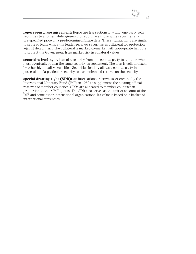**repo; repurchase agreement:** Repos are transactions in which one party sells securities to another while agreeing to repurchase those same securities at a pre-specified price on a predetermined future date. These transactions are similar to secured loans where the lender receives securities as collateral for protection against default risk. The collateral is marked-to-market with appropriate haircuts to protect the Government from market risk in collateral values.

**securities lending:** A loan of a security from one counterparty to another, who must eventually return the same security as repayment. The loan is collateralized by other high quality securities. Securities lending allows a counterparty in possession of a particular security to earn enhanced returns on the security.

**special drawing right (SDR):** An international reserve asset created by the International Monetary Fund (IMF) in 1969 to supplement the existing official reserves of member countries. SDRs are allocated to member countries in proportion to their IMF quotas. The SDR also serves as the unit of account of the IMF and some other international organizations. Its value is based on a basket of international currencies.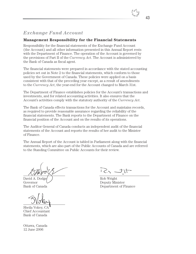## **Management Responsibility for the Financial Statements**

Responsibility for the financial statements of the Exchange Fund Account (the Account) and all other information presented in this Annual Report rests with the Department of Finance. The operation of the Account is governed by the provisions of Part II of the *Currency Act*. The Account is administered by the Bank of Canada as fiscal agent.

The financial statements were prepared in accordance with the stated accounting policies set out in Note 2 to the financial statements, which conform to those used by the Government of Canada. These policies were applied on a basis consistent with that of the preceding year except, as a result of amendments to the *Currency Act*, the year-end for the Account changed to March 31st.

The Department of Finance establishes policies for the Account's transactions and investments, and for related accounting activities. It also ensures that the Account's activities comply with the statutory authority of the *Currency Act*.

The Bank of Canada effects transactions for the Account and maintains records, as required to provide reasonable assurance regarding the reliability of the financial statements. The Bank reports to the Department of Finance on the financial position of the Account and on the results of its operations.

The Auditor General of Canada conducts an independent audit of the financial statements of the Account and reports the results of her audit to the Minister of Finance.

The Annual Report of the Account is tabled in Parliament along with the financial statements, which are also part of the Public Accounts of Canada and are referred to the Standing Committee on Public Accounts for their review.

David A. Dodge  $\bigcup$ Governor  $\vee$  Deputy Minister

Sheila Vokey, CA Chief Accountant Bank of Canada

Ottawa, Canada 12 June 2006

 $1 \leq 5$ 

Bank of Canada Department of Finance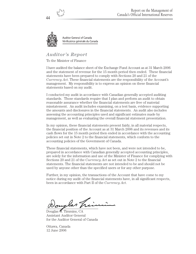

**Auditor General of Canada** Vérificatrice générale du Canada

# *Auditor's Report*

To the Minister of Finance

I have audited the balance sheet of the Exchange Fund Account as at 31 March 2006 and the statement of revenue for the 15 month period then ended. These financial statements have been prepared to comply with Sections 20 and 21 of the *Currency Act*. These financial statements are the responsibility of the Account's management. My responsibility is to express an opinion on these financial statements based on my audit.

I conducted my audit in accordance with Canadian generally accepted auditing standards. Those standards require that I plan and perform an audit to obtain reasonable assurance whether the financial statements are free of material misstatement. An audit includes examining, on a test basis, evidence supporting the amounts and disclosures in the financial statements. An audit also includes assessing the accounting principles used and significant estimates made by management, as well as evaluating the overall financial statement presentation.

In my opinion, these financial statements present fairly, in all material respects, the financial position of the Account as at 31 March 2006 and its revenues and its cash flows for the 15 month period then ended in accordance with the accounting policies set out in Note 2 to the financial statements, which conform to the accounting policies of the Government of Canada.

These financial statements, which have not been, and were not intended to be, prepared in accordance with Canadian generally accepted accounting principles, are solely for the information and use of the Minister of Finance for complying with Sections 20 and 21 of the *Currency Act* as set out in Note 2 to the financial statements. The financial statements are not intended to be and should not be used by anyone other than the specified users or for any other purpose.

Further, in my opinion, the transactions of the Account that have come to my notice during my audit of the financial statements have, in all significant respects, been in accordance with Part II of the *Currency Act*.

ouglas Tr

Douglas G. Timmins, CA Assistant Auditor General for the Auditor General of Canada

Ottawa, Canada 12 June 2006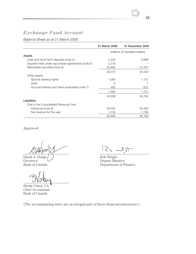*Balance Sheet as at 31 March 2006*

|                                                    | 31 March 2006 | 31 December 2004               |
|----------------------------------------------------|---------------|--------------------------------|
|                                                    |               | (millions of Canadian dollars) |
| Assets                                             |               |                                |
| Cash and short-term deposits (note 4)              | 4,239         | 2,668                          |
| Deposits held under repurchase agreements (note 5) | 2,278         |                                |
| Marketable securities (note 6)                     | 32,855        | 31,761                         |
|                                                    | 39,372        | 34,429                         |
| Other assets                                       |               |                                |
| Special drawing rights                             | 1,065         | 1,107                          |
| Gold                                               | 6             |                                |
| Accrued interest and other receivables (note 7)    | 493           | 637                            |
|                                                    | 1,564         | 1,751                          |
|                                                    | 40,936        | 36,180                         |
| Liabilities                                        |               |                                |
| Due to the Consolidated Revenue Fund               |               |                                |
| Advances (note 8)                                  | 39,202        | 34,382                         |
| Net revenue for the year                           | 1,734         | 1,798                          |
|                                                    | 40,936        | 36,180                         |

Approved:

David A. Dodge Rob Wright<br>Governor Rob Wright<br>Deputy Min Governor Deputy Minister<br>Bank of Canada Department of Fi

Sheila Vokey, CA Chief Accountant Bank of Canada

 $\frac{1}{100} = 2.51$ 

Department of Finance

(The accompanying notes are an integral part of these financial statements.)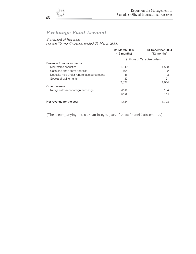## *Statement of Revenue*

*For the 15 month period ended 31 March 2006*

|                                           | 31 March 2006<br>$(15$ months) | 31 December 2004<br>$(12$ months) |
|-------------------------------------------|--------------------------------|-----------------------------------|
|                                           |                                | (millions of Canadian dollars)    |
| Revenue from investments                  |                                |                                   |
| Marketable securities                     | 1,840                          | 1,588                             |
| Cash and short-term deposits              | 104                            | 32                                |
| Deposits held under repurchase agreements | 46                             | 3                                 |
| Special drawing rights                    | 37                             | 21                                |
|                                           | 2,027                          | 1,644                             |
| Other revenue                             |                                |                                   |
| Net gain (loss) on foreign exchange       | (293)                          | 154                               |
|                                           | (293)                          | 154                               |
| Net revenue for the year                  | 1.734                          | 1.798                             |

(The accompanying notes are an integral part of these financial statements.)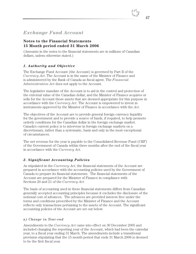## **Notes to the Financial Statements 15 Month period ended 31 March 2006**

(Amounts in the notes to the financial statements are in millions of Canadian dollars, unless otherwise stated.)

## *1. Authority and Objective*

The Exchange Fund Account (the Account) is governed by Part II of the *Currency Act*. The Account is in the name of the Minister of Finance and is administered by the Bank of Canada as fiscal agent. The *Financial Administration Act* does not apply to the Account.

The legislative mandate of the Account is to aid in the control and protection of the external value of the Canadian dollar, and the Minister of Finance acquires or sells for the Account those assets that are deemed appropriate for this purpose in accordance with the *Currency Act*. The Account is empowered to invest in instruments approved by the Minister of Finance in accordance with the *Act*.

The objectives of the Account are to provide general foreign currency liquidity for the government and to provide a source of funds, if required, to help promote orderly conditions for the Canadian dollar in the foreign exchange market. Canada's current policy is to intervene in foreign exchange markets on a discretionary, rather than a systematic, basis and only in the most exceptional of circumstances.

The net revenue for the year is payable to the Consolidated Revenue Fund (CRF) of the Government of Canada within three months after the end of the fiscal year in accordance with the *Currency Act*.

## *2. Significant Accounting Policies*

As stipulated in the *Currency Act*, the financial statements of the Account are prepared in accordance with the accounting policies used by the Government of Canada to prepare its financial statements. The financial statements of the Account are prepared for the Minister of Finance in compliance with Sections 20 and 21 of the *Currency Act*.

The basis of accounting used in these financial statements differs from Canadian generally accepted accounting principles because it excludes the disclosure of the notional cost of advances. The advances are provided interest free under the terms and conditions prescribed by the Minister of Finance and the Account reflects only transactions pertaining to the assets of the Account. The significant accounting policies of the Account are set out below.

#### *a) Change in Year-end*

Amendments to the *Currency Act* came into effect on 30 December 2005 and included changing the reporting year of the Account, which had been the calendar year, to a fiscal year ending 31 March. The amendments include a transitional provision stipulating that the 15 month period that ends 31 March 2006 is deemed to be the first fiscal year.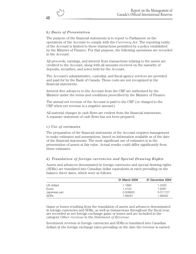## *b) Basis of Presentation*

The purpose of the financial statements is to report to Parliament on the operations of the Account to comply with the *Currency Act*. The reporting entity of the Account is limited to those transactions permitted by a policy established by the Minister of Finance. For that purpose, the following operations are recorded in the Account:

All proceeds, earnings, and interest from transactions relating to the assets are credited to the Account, along with all amounts received on the maturity of deposits, securities, and notes held for the Account.

The Account's administrative, custodial, and fiscal agency services are provided and paid for by the Bank of Canada. These costs are not recognized in the financial statements.

Interest-free advances to the Account from the CRF are authorized by the Minister under the terms and conditions prescribed by the Minister of Finance.

The annual net revenue of the Account is paid to the CRF (or charged to the CRF when net revenue is a negative amount).

All material changes in cash flows are evident from the financial statements. A separate statement of cash flows has not been prepared.

#### *c) Use of estimates*

The preparation of the financial statements of the Account requires management to make estimates and assumptions, based on information available as of the date of the financial statements. The most significant use of estimates is in the presentation of assets at fair value. Actual results could differ significantly from those estimates.

#### *d) Translation of foreign currencies and Special Drawing Rights*

Assets and advances denominated in foreign currencies and special drawing rights (SDRs) are translated into Canadian dollar equivalents at rates prevailing on the balance sheet dates, which were as follows:

|              | 31 March 2006 | 31 December 2004 |
|--------------|---------------|------------------|
| US dollars   | 1.1680        | 1.2020           |
| Euros        | 1.4153        | 1.6287           |
| Japanese yen | 0.009923      | 0.011727         |
| <b>SDRs</b>  | 1.68291       | 1.86050          |

Gains or losses resulting from the translation of assets and advances denominated in foreign currencies and SDRs, as well as transactions throughout the fiscal year, are recorded as net foreign exchange gains or losses and are included in the category *Other revenue* in the *Statement of Revenue*.

Investment revenue in foreign currencies and SDRs is translated into Canadian dollars at the foreign exchange rates prevailing on the date the revenue is earned.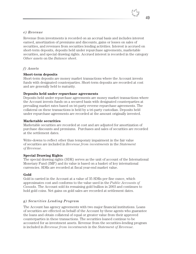# 49

#### *e) Revenue*

Revenue from investments is recorded on an accrual basis and includes interest earned, amortization of premiums and discounts, gains or losses on sales of securities, and revenues from securities lending activities. Interest is accrued on short-term deposits, deposits held under repurchase agreements, marketable securities, and special drawing rights. Accrued interest is recorded in the category *Other assets* on the *Balance sheet*.

#### *f) Assets*

#### **Short-term deposits**

Short-term deposits are money market transactions where the Account invests funds with designated counterparties. Short-term deposits are recorded at cost and are generally held to maturity.

#### **Deposits held under repurchase agreements**

Deposits held under repurchase agreements are money market transactions where the Account invests funds on a secured basis with designated counterparties at prevailing market rates based on tri-party reverse repurchase agreements. The collateral on these transactions is held by a tri-party custodian. Deposits held under repurchase agreements are recorded at the amount originally invested.

#### **Marketable securities**

Marketable securities are recorded at cost and are adjusted for amortization of purchase discounts and premiums. Purchases and sales of securities are recorded at the settlement dates.

Write-downs to reflect other than temporary impairment in the fair value of securities are included in *Revenue from investments* in the *Statement of Revenue*.

## **Special Drawing Rights**

The special drawing rights (SDR) serves as the unit of account of the International Monetary Fund (IMF) and its value is based on a basket of key international currencies. SDRs are recorded at fiscal year-end market value.

## **Gold**

Gold is carried in the Account at a value of 35 SDRs per fine ounce, which approximates cost and conforms to the value used in the *Public Accounts of Canada*. The Account sold its remaining gold bullion in 2003 and continues to hold gold coins. Net gains on gold sales are recorded at settlement dates.

## *g) Securities Lending Program*

The Account has agency agreements with two major financial institutions. Loans of securities are effected on behalf of the Account by these agents who guarantee the loans and obtain collateral of equal or greater value from their approved counterparties in these transactions. The securities loaned continue to be accounted for as investment assets. Revenue from the securities-lending program is included in *Revenue from investments* in the *Statement of Revenue*.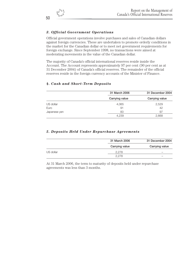## *3. Official Government Operations*

Official government operations involve purchases and sales of Canadian dollars against foreign currencies. These are undertaken to promote orderly conditions in the market for the Canadian dollar or to meet net government requirements for foreign exchange. Since September 1998, no transactions were aimed at moderating movements in the value of the Canadian dollar.

The majority of Canada's official international reserves reside inside the Account. The Account represents approximately 97 per cent (90 per cent as at 31 December 2004) of Canada's official reserves. The remainder of the official reserves reside in the foreign currency accounts of the Minister of Finance.

|              | 31 March 2006  | 31 December 2004 |
|--------------|----------------|------------------|
|              | Carrying value | Carrying value   |
| US dollar    | 4,065          | 2,529            |
| Euro         | 91             | 42               |
| Japanese yen | 83             | 97               |
|              | 4.239          | 2,668            |

#### *4. Cash and Short-Term Deposits*

#### *5. Deposits Held Under Repurchase Agreements*

|           | 31 March 2006  | 31 December 2004 |
|-----------|----------------|------------------|
|           | Carrying value | Carrying value   |
| US dollar | 2.278          |                  |
|           | 2.278          |                  |

At 31 March 2006, the term to maturity of deposits held under repurchase agreements was less than 3 months.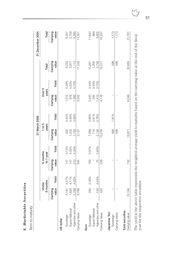| c,<br>$\bullet$<br>ritie<br>z |
|-------------------------------|
| تَ<br>I                       |
| Se                            |
| $\bm{s}$                      |
|                               |
| $\bm{a}$<br>ಕ                 |
| $\ddot{\bullet}$              |
| x                             |
| ⊾                             |
| ອ                             |
| $\blacksquare$                |
| S                             |

Term to maturity *Term to maturity*

|                                    |                   |                   |                       |       | 31 March 2006       |       |                          |       |                   | 31 December 2004  |
|------------------------------------|-------------------|-------------------|-----------------------|-------|---------------------|-------|--------------------------|-------|-------------------|-------------------|
|                                    |                   | 6 months<br>Under | 6 months<br>to 1 year |       | $1$ to $5$<br>years |       | Over 5<br>years          |       | Total             | Total             |
|                                    | value<br>Carrying | Yield             | value<br>Carrying     | Yield | Carrying<br>value   | Yield | value<br>Carrying        | Yield | Carrying<br>value | value<br>Carrying |
| US dollar                          |                   |                   |                       |       |                     |       |                          |       |                   |                   |
| Sovereign                          | 4,181             |                   | 147                   | 3.72% | 352                 | 4.44% | 1,572                    | 4.28% | 6,252             | 6,357             |
| Supra National                     | 1,820             | 4.27%<br>4.11%    | 147                   | 4.05% | 1,032               | 4.49% | 978                      | 4.53% | 3,977             | 2,709             |
| Agencies and other                 | 3,768             | 4.42%             | 210                   | 4.34% | 1,753               | 4.59% | 1,382                    | 4.70% | 7,113             | 5,285             |
| Carrying Value                     | 9,769             |                   | 504                   |       | 3,137               |       | 3,932                    |       | 17,342            | 14,351            |
| Euro                               |                   |                   |                       |       |                     |       |                          |       |                   |                   |
| Sovereign                          | 282               | 2.38%             | 163                   | 3.97% | 7,396               | 3.89% | 2,420                    | 3.44% | 10,261            | 11,643            |
| Supra National                     |                   |                   |                       |       | 716                 | 4.61% | 284                      | 3.35% | 1,000             | 989               |
| Agencies and other                 | 143               | 4.54%             | 75                    | 2.64% | 2,126               | 3.76% | 1,412                    | 3.70% | 3,756             | 3,605             |
| Carrying Value                     | 425               |                   | 238                   |       | 10,238              |       | 4,116                    |       | 15,017            | 16,237            |
| Japanese Yen<br>Sovereign          |                   |                   | I                     |       | 496                 | 1.91% |                          |       | 496               | 1,173             |
| Carrying Value                     |                   |                   | I                     |       | 496                 |       | $\overline{\phantom{a}}$ |       | 496               | 1,173             |
| Total securities<br>Carrying value | 10,194            |                   | 742                   |       | 13,871              |       | 8,048                    |       | 32,855            | 31,761            |
|                                    |                   |                   |                       |       |                     |       |                          |       |                   |                   |

The yield in the above table represents the weighted average yield to maturity based on the carrying value at the end of the fiscal The yield in the above table represents the weighted average yield to maturity based on the carrying value at the end of the fiscal year for the respective securities. year for the respective securities.



51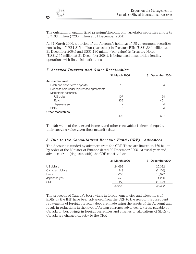The outstanding unamortized premium/discount on marketable securities amounts to \$193 million (\$230 million at 31 December 2004).

At 31 March 2006, a portion of the Account's holdings of US government securities, consisting of US\$1,815 million (par value) in Treasury Bills (US\$1,830 million at 31 December 2004) and US\$1,130 million (par value) in Treasury Notes (US\$1,165 million at 31 December 2004), is being used in securities-lending operations with financial institutions.

|                                           | 31 March 2006 | 31 December 2004 |
|-------------------------------------------|---------------|------------------|
| <b>Accrued interest</b>                   |               |                  |
| Cash and short-term deposits              | 12            | 4                |
| Deposits held under repurchase agreements | 9             |                  |
| Marketable securities                     |               |                  |
| US dollar                                 | 107           | 164              |
| Euro                                      | 359           | 461              |
| Japanese yen                              |               | 4                |
| <b>SDRs</b>                               | 6             | 4                |
| Other receivables                         |               |                  |
|                                           | 493           | 637              |

## *7. Accrued Interest and Other Receivables*

The fair value of the accrued interest and other receivables is deemed equal to their carrying value given their maturity date.

#### *8. Due to the Consolidated Revenue Fund (CRF)—Advances*

The Account is funded by advances from the CRF. These are limited to \$60 billion by order of the Minister of Finance dated 30 December 2005. At fiscal year-end, advances from (deposits with) the CRF consisted of:

|                  | 31 March 2006 | 31 December 2004 |
|------------------|---------------|------------------|
| US dollars       | 24,698        | 20,332           |
| Canadian dollars | 349           | (2, 108)         |
| Euros            | 14,606        | 16,027           |
| Japanese yen     | 576           | 1,266            |
| <b>SDR</b>       | (1,027)       | (1, 135)         |
|                  | 39,202        | 34.382           |

The proceeds of Canada's borrowings in foreign currencies and allocations of SDRs by the IMF have been advanced from the CRF to the Account. Subsequent repayments of foreign currency debt are made using the assets of the Account and result in reductions in the level of foreign currency advances. Interest payable by Canada on borrowings in foreign currencies and charges on allocations of SDRs to Canada are charged directly to the CRF.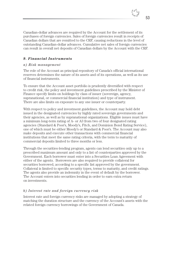Canadian-dollar advances are required by the Account for the settlement of its purchases of foreign currencies. Sales of foreign currencies result in receipts of Canadian dollars that are remitted to the CRF, causing reductions in the level of outstanding Canadian-dollar advances. Cumulative net sales of foreign currencies can result in overall net deposits of Canadian dollars by the Account with the CRF.

#### *9. Financial Instruments*

#### *a) Risk management*

The role of the Account as principal repository of Canada's official international reserves determines the nature of its assets and of its operations, as well as its use of financial instruments.

To ensure that the Account asset portfolio is prudently diversified with respect to credit risk, the policy and investment guidelines prescribed by the Minister of Finance specify limits on holdings by class of issuer (sovereign, agency, supranational, or commercial financial institution) and type of instrument. There are also limits on exposure to any one issuer or counterparty.

With respect to policy and investment guidelines, the Account may hold debt issued in the designated currencies by highly rated sovereign governments and their agencies, as well as by supranational organizations. Eligible issues must have a minimum long-term rating of A- or A3 from two of four designated rating agencies (Standard & Poor's, Moody's, Fitch, and Dominion Bond Rating Service), one of which must be either Moody's or Standard & Poor's. The Account may also make deposits and execute other transactions with commercial financial institutions that meet the same rating criteria, with the term to maturity of commercial deposits limited to three months or less.

Through the securities-lending program, agents can lend securities only up to a prescribed maximum amount and only to a list of counterparties approved by the Government. Each borrower must enter into a Securities Loan Agreement with either of the agents. Borrowers are also required to provide collateral for securities borrowed, according to a specific list approved by the government. Collateral is limited to specific security types, terms to maturity, and credit ratings. The agents also provide an indemnity in the event of default by the borrower. The Account enters into securities lending in order to earn extra return on investments.

#### *b) Interest rate and foreign currency risk*

Interest rate and foreign currency risks are managed by adopting a strategy of matching the duration structure and the currency of the Account's assets with the related foreign currency borrowings of the Government of Canada.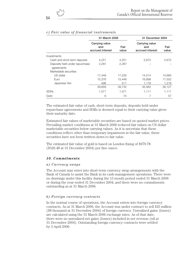|                                | 31 March 2006                             |               | 31 December 2004                          |               |
|--------------------------------|-------------------------------------------|---------------|-------------------------------------------|---------------|
|                                | Carrying value<br>and<br>accrued interest | Fair<br>value | Carrying value<br>and<br>accrued interest | Fair<br>value |
| Investments                    |                                           |               |                                           |               |
| Cash and short-term deposits   | 4,251                                     | 4,251         | 2,672                                     | 2,672         |
| Deposits held under repurchase | 2.287                                     | 2.287         |                                           |               |
| agreements                     |                                           |               |                                           |               |
| Marketable securities          |                                           |               |                                           |               |
| US dollar                      | 17,449                                    | 17,235        | 14,514                                    | 14,685        |
| Euro                           | 15,376                                    | 15,448        | 16,698                                    | 17,552        |
| Japanese Yen                   | 496                                       | 511           | 1,178                                     | 1,218         |
|                                | 39,859                                    | 39,732        | 35,062                                    | 36,127        |
| <b>SDRs</b>                    | 1,071                                     | 1.071         | 1,111                                     | 1,111         |
| Gold                           | 6                                         | 74            | 7                                         | 57            |

## *c) Fair value of financial instruments*

The estimated fair value of cash, short-term deposits, deposits held under repurchase agreements and SDRs is deemed equal to their carrying value given their maturity date.

Estimated fair values of marketable securities are based on quoted market prices. Prevailing market conditions at 31 March 2006 reduced fair values on US dollar marketable securities below carrying values. As it is uncertain that these conditions reflect other than temporary impairment in the fair value, these securities have not been written-down to fair value.

The estimated fair value of gold is based on London fixing of \$679.78 (\$526.48 at 31 December 2004) per fine ounce.

#### *10. Commitments*

#### *a) Currency swaps*

The Account may enter into short-term currency swap arrangements with the Bank of Canada to assist the Bank in its cash-management operations. There were no drawings under this facility during the 15 month period ended 31 March 2006 or during the year ended 31 December 2004, and there were no commitments outstanding as at 31 March 2006.

#### *b) Foreign currency contracts*

In the normal course of operations, the Account enters into foreign currency contracts. As at 31 March 2006, the Account was under contract to sell \$25 million (\$8 thousand at 31 December 2004) of foreign currency. Unrealized gains (losses) are calculated using the 31 March 2006 exchange rates. As of that date, there were no unrealized net gains (losses) included in net revenue (nil at 31 December 2004). Outstanding foreign currency contracts were settled by 3 April 2006.